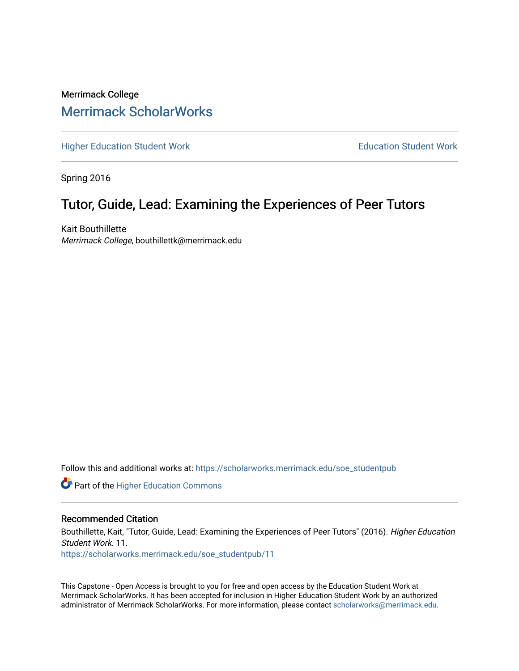# Merrimack College [Merrimack ScholarWorks](https://scholarworks.merrimack.edu/)

[Higher Education Student Work](https://scholarworks.merrimack.edu/soe_studentpub) **Education Student Work** Education Student Work

Spring 2016

# Tutor, Guide, Lead: Examining the Experiences of Peer Tutors

Kait Bouthillette Merrimack College, bouthillettk@merrimack.edu

Follow this and additional works at: [https://scholarworks.merrimack.edu/soe\\_studentpub](https://scholarworks.merrimack.edu/soe_studentpub?utm_source=scholarworks.merrimack.edu%2Fsoe_studentpub%2F11&utm_medium=PDF&utm_campaign=PDFCoverPages) 

**Part of the Higher Education Commons** 

#### Recommended Citation

Bouthillette, Kait, "Tutor, Guide, Lead: Examining the Experiences of Peer Tutors" (2016). Higher Education Student Work. 11.

[https://scholarworks.merrimack.edu/soe\\_studentpub/11](https://scholarworks.merrimack.edu/soe_studentpub/11?utm_source=scholarworks.merrimack.edu%2Fsoe_studentpub%2F11&utm_medium=PDF&utm_campaign=PDFCoverPages) 

This Capstone - Open Access is brought to you for free and open access by the Education Student Work at Merrimack ScholarWorks. It has been accepted for inclusion in Higher Education Student Work by an authorized administrator of Merrimack ScholarWorks. For more information, please contact [scholarworks@merrimack.edu](mailto:scholarworks@merrimack.edu).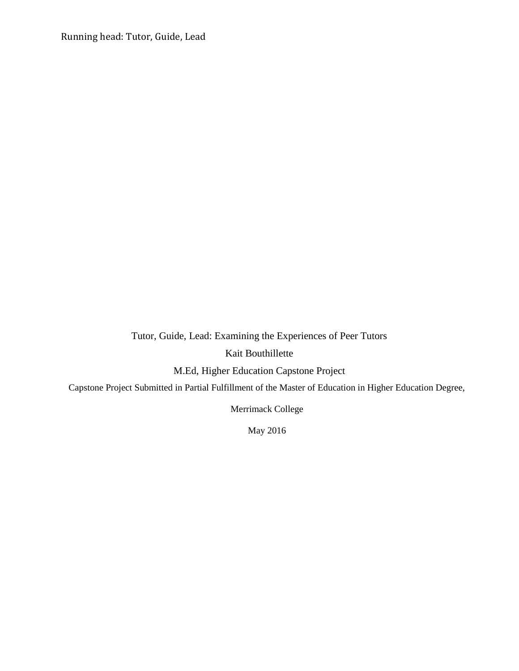Running head: Tutor, Guide, Lead

Tutor, Guide, Lead: Examining the Experiences of Peer Tutors

Kait Bouthillette

M.Ed, Higher Education Capstone Project

Capstone Project Submitted in Partial Fulfillment of the Master of Education in Higher Education Degree,

Merrimack College

May 2016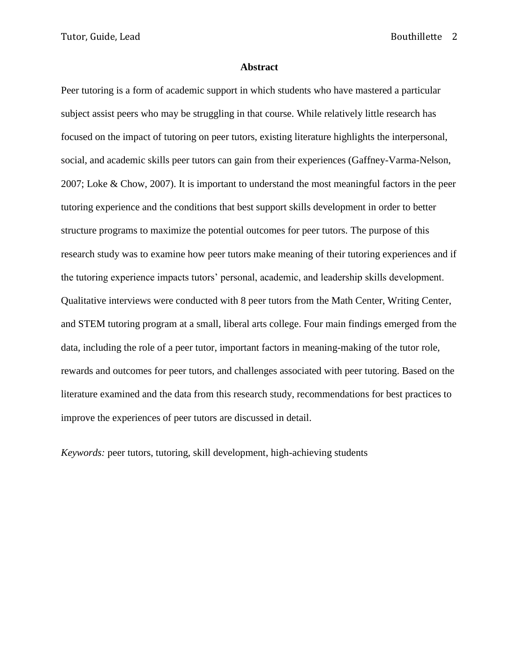Tutor, Guide, Lead Bouthillette 2

#### **Abstract**

Peer tutoring is a form of academic support in which students who have mastered a particular subject assist peers who may be struggling in that course. While relatively little research has focused on the impact of tutoring on peer tutors, existing literature highlights the interpersonal, social, and academic skills peer tutors can gain from their experiences (Gaffney-Varma-Nelson, 2007; Loke & Chow, 2007). It is important to understand the most meaningful factors in the peer tutoring experience and the conditions that best support skills development in order to better structure programs to maximize the potential outcomes for peer tutors. The purpose of this research study was to examine how peer tutors make meaning of their tutoring experiences and if the tutoring experience impacts tutors' personal, academic, and leadership skills development. Qualitative interviews were conducted with 8 peer tutors from the Math Center, Writing Center, and STEM tutoring program at a small, liberal arts college. Four main findings emerged from the data, including the role of a peer tutor, important factors in meaning-making of the tutor role, rewards and outcomes for peer tutors, and challenges associated with peer tutoring. Based on the literature examined and the data from this research study, recommendations for best practices to improve the experiences of peer tutors are discussed in detail.

*Keywords:* peer tutors, tutoring, skill development, high-achieving students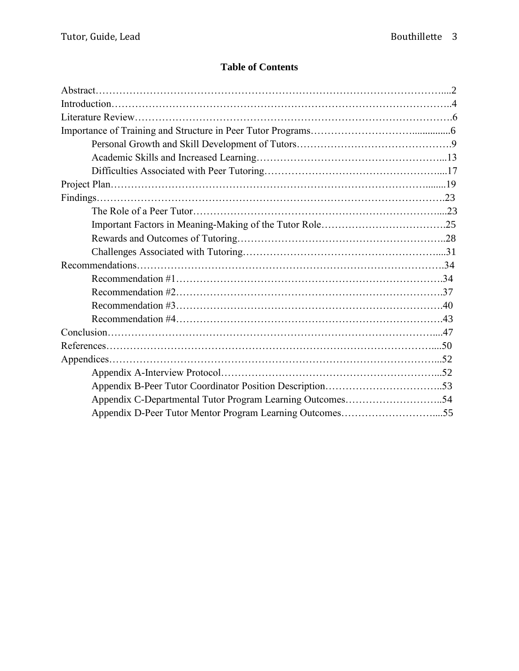# **Table of Contents**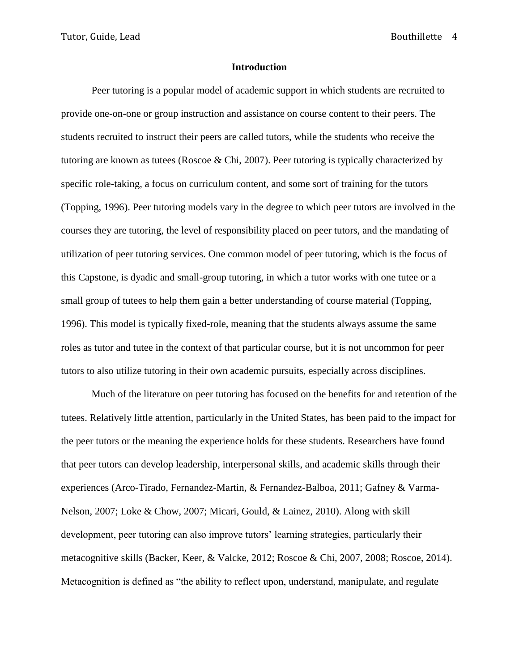#### **Introduction**

Peer tutoring is a popular model of academic support in which students are recruited to provide one-on-one or group instruction and assistance on course content to their peers. The students recruited to instruct their peers are called tutors, while the students who receive the tutoring are known as tutees (Roscoe & Chi, 2007). Peer tutoring is typically characterized by specific role-taking, a focus on curriculum content, and some sort of training for the tutors (Topping, 1996). Peer tutoring models vary in the degree to which peer tutors are involved in the courses they are tutoring, the level of responsibility placed on peer tutors, and the mandating of utilization of peer tutoring services. One common model of peer tutoring, which is the focus of this Capstone, is dyadic and small-group tutoring, in which a tutor works with one tutee or a small group of tutees to help them gain a better understanding of course material (Topping, 1996). This model is typically fixed-role, meaning that the students always assume the same roles as tutor and tutee in the context of that particular course, but it is not uncommon for peer tutors to also utilize tutoring in their own academic pursuits, especially across disciplines.

Much of the literature on peer tutoring has focused on the benefits for and retention of the tutees. Relatively little attention, particularly in the United States, has been paid to the impact for the peer tutors or the meaning the experience holds for these students. Researchers have found that peer tutors can develop leadership, interpersonal skills, and academic skills through their experiences (Arco-Tirado, Fernandez-Martin, & Fernandez-Balboa, 2011; Gafney & Varma-Nelson, 2007; Loke & Chow, 2007; Micari, Gould, & Lainez, 2010). Along with skill development, peer tutoring can also improve tutors' learning strategies, particularly their metacognitive skills (Backer, Keer, & Valcke, 2012; Roscoe & Chi, 2007, 2008; Roscoe, 2014). Metacognition is defined as "the ability to reflect upon, understand, manipulate, and regulate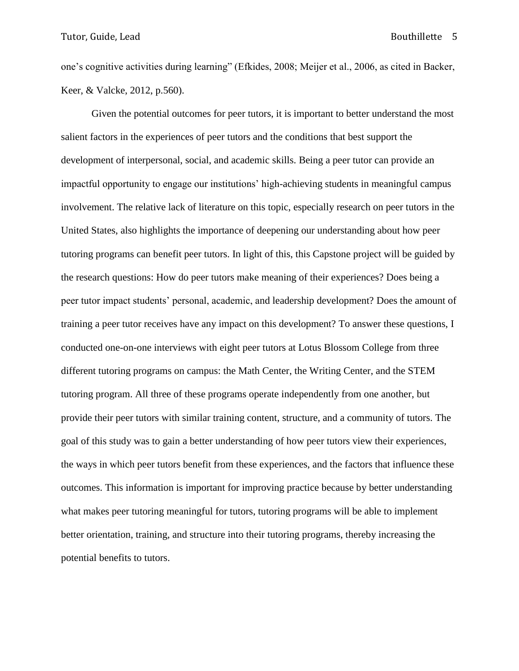one's cognitive activities during learning" (Efkides, 2008; Meijer et al., 2006, as cited in Backer, Keer, & Valcke, 2012, p.560).

Given the potential outcomes for peer tutors, it is important to better understand the most salient factors in the experiences of peer tutors and the conditions that best support the development of interpersonal, social, and academic skills. Being a peer tutor can provide an impactful opportunity to engage our institutions' high-achieving students in meaningful campus involvement. The relative lack of literature on this topic, especially research on peer tutors in the United States, also highlights the importance of deepening our understanding about how peer tutoring programs can benefit peer tutors. In light of this, this Capstone project will be guided by the research questions: How do peer tutors make meaning of their experiences? Does being a peer tutor impact students' personal, academic, and leadership development? Does the amount of training a peer tutor receives have any impact on this development? To answer these questions, I conducted one-on-one interviews with eight peer tutors at Lotus Blossom College from three different tutoring programs on campus: the Math Center, the Writing Center, and the STEM tutoring program. All three of these programs operate independently from one another, but provide their peer tutors with similar training content, structure, and a community of tutors. The goal of this study was to gain a better understanding of how peer tutors view their experiences, the ways in which peer tutors benefit from these experiences, and the factors that influence these outcomes. This information is important for improving practice because by better understanding what makes peer tutoring meaningful for tutors, tutoring programs will be able to implement better orientation, training, and structure into their tutoring programs, thereby increasing the potential benefits to tutors.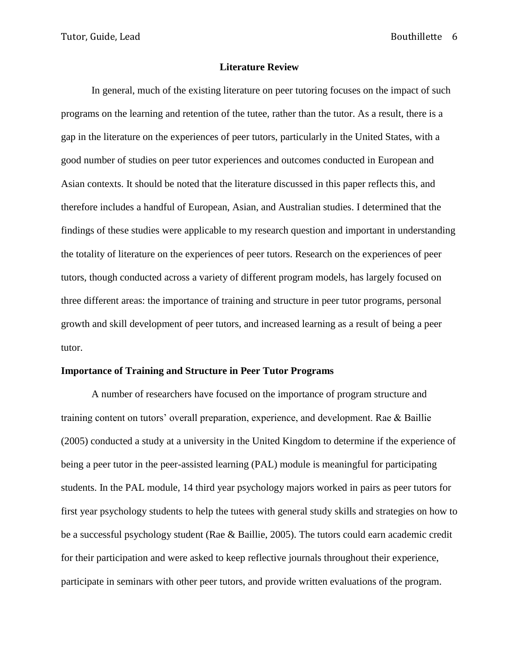#### **Literature Review**

In general, much of the existing literature on peer tutoring focuses on the impact of such programs on the learning and retention of the tutee, rather than the tutor. As a result, there is a gap in the literature on the experiences of peer tutors, particularly in the United States, with a good number of studies on peer tutor experiences and outcomes conducted in European and Asian contexts. It should be noted that the literature discussed in this paper reflects this, and therefore includes a handful of European, Asian, and Australian studies. I determined that the findings of these studies were applicable to my research question and important in understanding the totality of literature on the experiences of peer tutors. Research on the experiences of peer tutors, though conducted across a variety of different program models, has largely focused on three different areas: the importance of training and structure in peer tutor programs, personal growth and skill development of peer tutors, and increased learning as a result of being a peer tutor.

#### **Importance of Training and Structure in Peer Tutor Programs**

A number of researchers have focused on the importance of program structure and training content on tutors' overall preparation, experience, and development. Rae & Baillie (2005) conducted a study at a university in the United Kingdom to determine if the experience of being a peer tutor in the peer-assisted learning (PAL) module is meaningful for participating students. In the PAL module, 14 third year psychology majors worked in pairs as peer tutors for first year psychology students to help the tutees with general study skills and strategies on how to be a successful psychology student (Rae & Baillie, 2005). The tutors could earn academic credit for their participation and were asked to keep reflective journals throughout their experience, participate in seminars with other peer tutors, and provide written evaluations of the program.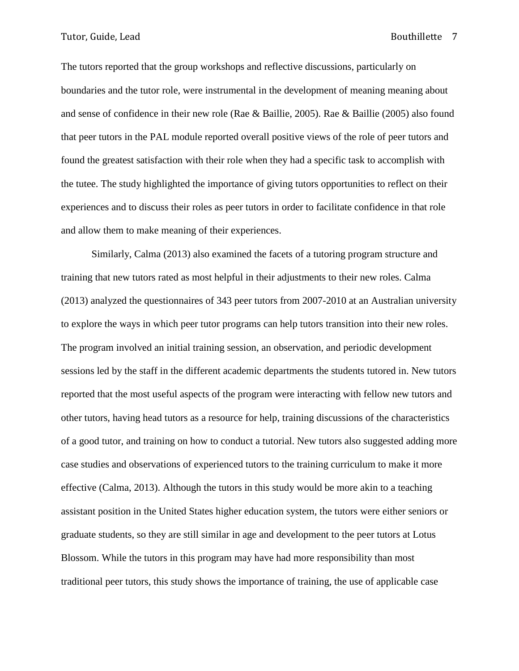The tutors reported that the group workshops and reflective discussions, particularly on boundaries and the tutor role, were instrumental in the development of meaning meaning about and sense of confidence in their new role (Rae & Baillie, 2005). Rae & Baillie (2005) also found that peer tutors in the PAL module reported overall positive views of the role of peer tutors and found the greatest satisfaction with their role when they had a specific task to accomplish with the tutee. The study highlighted the importance of giving tutors opportunities to reflect on their experiences and to discuss their roles as peer tutors in order to facilitate confidence in that role and allow them to make meaning of their experiences.

Similarly, Calma (2013) also examined the facets of a tutoring program structure and training that new tutors rated as most helpful in their adjustments to their new roles. Calma (2013) analyzed the questionnaires of 343 peer tutors from 2007-2010 at an Australian university to explore the ways in which peer tutor programs can help tutors transition into their new roles. The program involved an initial training session, an observation, and periodic development sessions led by the staff in the different academic departments the students tutored in. New tutors reported that the most useful aspects of the program were interacting with fellow new tutors and other tutors, having head tutors as a resource for help, training discussions of the characteristics of a good tutor, and training on how to conduct a tutorial. New tutors also suggested adding more case studies and observations of experienced tutors to the training curriculum to make it more effective (Calma, 2013). Although the tutors in this study would be more akin to a teaching assistant position in the United States higher education system, the tutors were either seniors or graduate students, so they are still similar in age and development to the peer tutors at Lotus Blossom. While the tutors in this program may have had more responsibility than most traditional peer tutors, this study shows the importance of training, the use of applicable case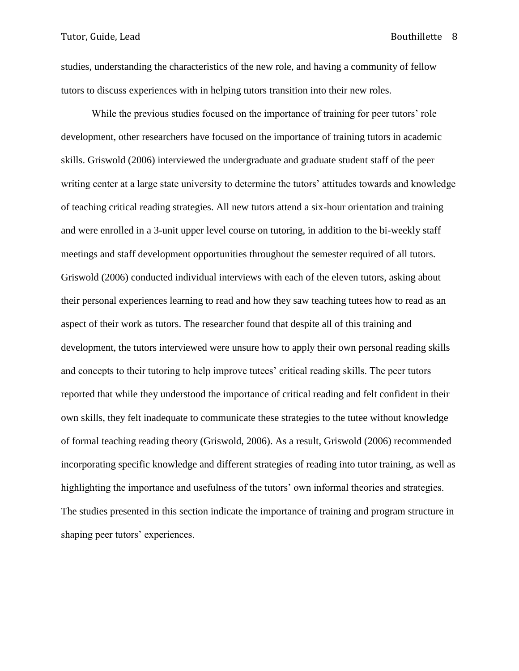studies, understanding the characteristics of the new role, and having a community of fellow tutors to discuss experiences with in helping tutors transition into their new roles.

While the previous studies focused on the importance of training for peer tutors' role development, other researchers have focused on the importance of training tutors in academic skills. Griswold (2006) interviewed the undergraduate and graduate student staff of the peer writing center at a large state university to determine the tutors' attitudes towards and knowledge of teaching critical reading strategies. All new tutors attend a six-hour orientation and training and were enrolled in a 3-unit upper level course on tutoring, in addition to the bi-weekly staff meetings and staff development opportunities throughout the semester required of all tutors. Griswold (2006) conducted individual interviews with each of the eleven tutors, asking about their personal experiences learning to read and how they saw teaching tutees how to read as an aspect of their work as tutors. The researcher found that despite all of this training and development, the tutors interviewed were unsure how to apply their own personal reading skills and concepts to their tutoring to help improve tutees' critical reading skills. The peer tutors reported that while they understood the importance of critical reading and felt confident in their own skills, they felt inadequate to communicate these strategies to the tutee without knowledge of formal teaching reading theory (Griswold, 2006). As a result, Griswold (2006) recommended incorporating specific knowledge and different strategies of reading into tutor training, as well as highlighting the importance and usefulness of the tutors' own informal theories and strategies. The studies presented in this section indicate the importance of training and program structure in shaping peer tutors' experiences.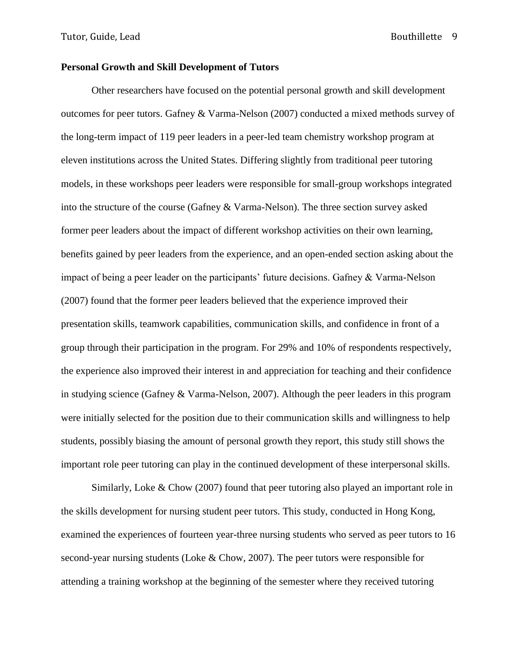### **Personal Growth and Skill Development of Tutors**

Other researchers have focused on the potential personal growth and skill development outcomes for peer tutors. Gafney & Varma-Nelson (2007) conducted a mixed methods survey of the long-term impact of 119 peer leaders in a peer-led team chemistry workshop program at eleven institutions across the United States. Differing slightly from traditional peer tutoring models, in these workshops peer leaders were responsible for small-group workshops integrated into the structure of the course (Gafney & Varma-Nelson). The three section survey asked former peer leaders about the impact of different workshop activities on their own learning, benefits gained by peer leaders from the experience, and an open-ended section asking about the impact of being a peer leader on the participants' future decisions. Gafney & Varma-Nelson (2007) found that the former peer leaders believed that the experience improved their presentation skills, teamwork capabilities, communication skills, and confidence in front of a group through their participation in the program. For 29% and 10% of respondents respectively, the experience also improved their interest in and appreciation for teaching and their confidence in studying science (Gafney & Varma-Nelson, 2007). Although the peer leaders in this program were initially selected for the position due to their communication skills and willingness to help students, possibly biasing the amount of personal growth they report, this study still shows the important role peer tutoring can play in the continued development of these interpersonal skills.

Similarly, Loke & Chow (2007) found that peer tutoring also played an important role in the skills development for nursing student peer tutors. This study, conducted in Hong Kong, examined the experiences of fourteen year-three nursing students who served as peer tutors to 16 second-year nursing students (Loke & Chow, 2007). The peer tutors were responsible for attending a training workshop at the beginning of the semester where they received tutoring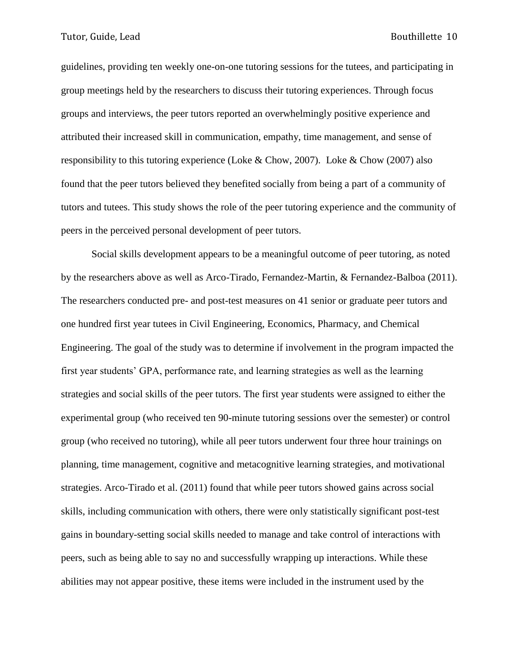guidelines, providing ten weekly one-on-one tutoring sessions for the tutees, and participating in group meetings held by the researchers to discuss their tutoring experiences. Through focus groups and interviews, the peer tutors reported an overwhelmingly positive experience and attributed their increased skill in communication, empathy, time management, and sense of responsibility to this tutoring experience (Loke & Chow, 2007). Loke & Chow (2007) also found that the peer tutors believed they benefited socially from being a part of a community of tutors and tutees. This study shows the role of the peer tutoring experience and the community of peers in the perceived personal development of peer tutors.

Social skills development appears to be a meaningful outcome of peer tutoring, as noted by the researchers above as well as Arco-Tirado, Fernandez-Martin, & Fernandez-Balboa (2011). The researchers conducted pre- and post-test measures on 41 senior or graduate peer tutors and one hundred first year tutees in Civil Engineering, Economics, Pharmacy, and Chemical Engineering. The goal of the study was to determine if involvement in the program impacted the first year students' GPA, performance rate, and learning strategies as well as the learning strategies and social skills of the peer tutors. The first year students were assigned to either the experimental group (who received ten 90-minute tutoring sessions over the semester) or control group (who received no tutoring), while all peer tutors underwent four three hour trainings on planning, time management, cognitive and metacognitive learning strategies, and motivational strategies. Arco-Tirado et al. (2011) found that while peer tutors showed gains across social skills, including communication with others, there were only statistically significant post-test gains in boundary-setting social skills needed to manage and take control of interactions with peers, such as being able to say no and successfully wrapping up interactions. While these abilities may not appear positive, these items were included in the instrument used by the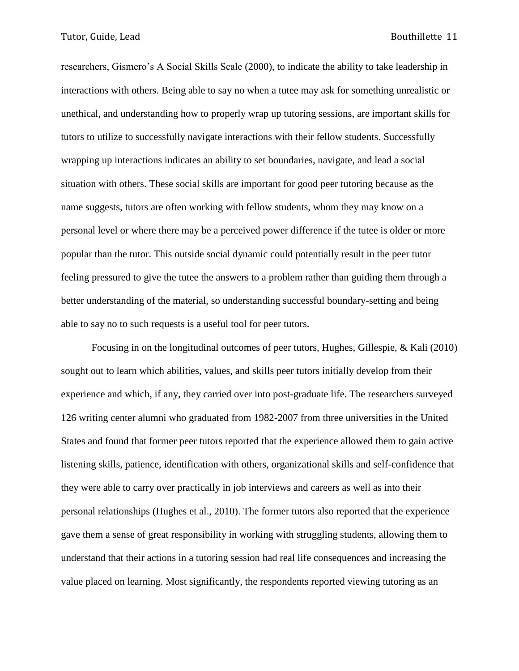researchers, Gismero's A Social Skills Scale (2000), to indicate the ability to take leadership in interactions with others. Being able to say no when a tutee may ask for something unrealistic or unethical, and understanding how to properly wrap up tutoring sessions, are important skills for tutors to utilize to successfully navigate interactions with their fellow students. Successfully wrapping up interactions indicates an ability to set boundaries, navigate, and lead a social situation with others. These social skills are important for good peer tutoring because as the name suggests, tutors are often working with fellow students, whom they may know on a personal level or where there may be a perceived power difference if the tutee is older or more popular than the tutor. This outside social dynamic could potentially result in the peer tutor feeling pressured to give the tutee the answers to a problem rather than guiding them through a better understanding of the material, so understanding successful boundary-setting and being able to say no to such requests is a useful tool for peer tutors.

Focusing in on the longitudinal outcomes of peer tutors, Hughes, Gillespie, & Kali (2010) sought out to learn which abilities, values, and skills peer tutors initially develop from their experience and which, if any, they carried over into post-graduate life. The researchers surveyed 126 writing center alumni who graduated from 1982-2007 from three universities in the United States and found that former peer tutors reported that the experience allowed them to gain active listening skills, patience, identification with others, organizational skills and self-confidence that they were able to carry over practically in job interviews and careers as well as into their personal relationships (Hughes et al., 2010). The former tutors also reported that the experience gave them a sense of great responsibility in working with struggling students, allowing them to understand that their actions in a tutoring session had real life consequences and increasing the value placed on learning. Most significantly, the respondents reported viewing tutoring as an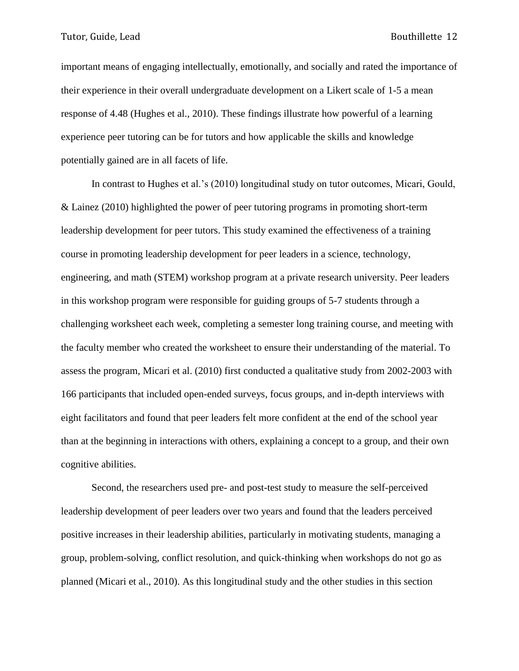important means of engaging intellectually, emotionally, and socially and rated the importance of their experience in their overall undergraduate development on a Likert scale of 1-5 a mean response of 4.48 (Hughes et al., 2010). These findings illustrate how powerful of a learning experience peer tutoring can be for tutors and how applicable the skills and knowledge potentially gained are in all facets of life.

In contrast to Hughes et al.'s (2010) longitudinal study on tutor outcomes, Micari, Gould, & Lainez (2010) highlighted the power of peer tutoring programs in promoting short-term leadership development for peer tutors. This study examined the effectiveness of a training course in promoting leadership development for peer leaders in a science, technology, engineering, and math (STEM) workshop program at a private research university. Peer leaders in this workshop program were responsible for guiding groups of 5-7 students through a challenging worksheet each week, completing a semester long training course, and meeting with the faculty member who created the worksheet to ensure their understanding of the material. To assess the program, Micari et al. (2010) first conducted a qualitative study from 2002-2003 with 166 participants that included open-ended surveys, focus groups, and in-depth interviews with eight facilitators and found that peer leaders felt more confident at the end of the school year than at the beginning in interactions with others, explaining a concept to a group, and their own cognitive abilities.

Second, the researchers used pre- and post-test study to measure the self-perceived leadership development of peer leaders over two years and found that the leaders perceived positive increases in their leadership abilities, particularly in motivating students, managing a group, problem-solving, conflict resolution, and quick-thinking when workshops do not go as planned (Micari et al., 2010). As this longitudinal study and the other studies in this section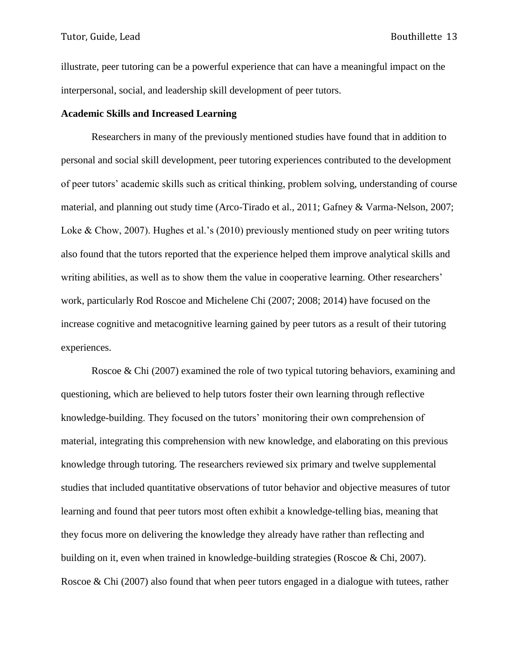illustrate, peer tutoring can be a powerful experience that can have a meaningful impact on the interpersonal, social, and leadership skill development of peer tutors.

#### **Academic Skills and Increased Learning**

Researchers in many of the previously mentioned studies have found that in addition to personal and social skill development, peer tutoring experiences contributed to the development of peer tutors' academic skills such as critical thinking, problem solving, understanding of course material, and planning out study time (Arco-Tirado et al., 2011; Gafney & Varma-Nelson, 2007; Loke & Chow, 2007). Hughes et al.'s (2010) previously mentioned study on peer writing tutors also found that the tutors reported that the experience helped them improve analytical skills and writing abilities, as well as to show them the value in cooperative learning. Other researchers' work, particularly Rod Roscoe and Michelene Chi (2007; 2008; 2014) have focused on the increase cognitive and metacognitive learning gained by peer tutors as a result of their tutoring experiences.

Roscoe & Chi (2007) examined the role of two typical tutoring behaviors, examining and questioning, which are believed to help tutors foster their own learning through reflective knowledge-building. They focused on the tutors' monitoring their own comprehension of material, integrating this comprehension with new knowledge, and elaborating on this previous knowledge through tutoring. The researchers reviewed six primary and twelve supplemental studies that included quantitative observations of tutor behavior and objective measures of tutor learning and found that peer tutors most often exhibit a knowledge-telling bias, meaning that they focus more on delivering the knowledge they already have rather than reflecting and building on it, even when trained in knowledge-building strategies (Roscoe & Chi, 2007). Roscoe & Chi (2007) also found that when peer tutors engaged in a dialogue with tutees, rather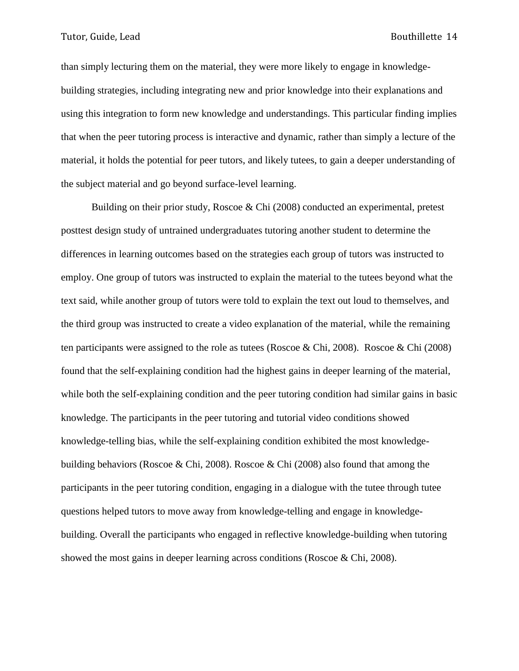than simply lecturing them on the material, they were more likely to engage in knowledgebuilding strategies, including integrating new and prior knowledge into their explanations and using this integration to form new knowledge and understandings. This particular finding implies that when the peer tutoring process is interactive and dynamic, rather than simply a lecture of the material, it holds the potential for peer tutors, and likely tutees, to gain a deeper understanding of the subject material and go beyond surface-level learning.

Building on their prior study, Roscoe & Chi (2008) conducted an experimental, pretest posttest design study of untrained undergraduates tutoring another student to determine the differences in learning outcomes based on the strategies each group of tutors was instructed to employ. One group of tutors was instructed to explain the material to the tutees beyond what the text said, while another group of tutors were told to explain the text out loud to themselves, and the third group was instructed to create a video explanation of the material, while the remaining ten participants were assigned to the role as tutees (Roscoe & Chi, 2008). Roscoe & Chi (2008) found that the self-explaining condition had the highest gains in deeper learning of the material, while both the self-explaining condition and the peer tutoring condition had similar gains in basic knowledge. The participants in the peer tutoring and tutorial video conditions showed knowledge-telling bias, while the self-explaining condition exhibited the most knowledgebuilding behaviors (Roscoe & Chi, 2008). Roscoe & Chi (2008) also found that among the participants in the peer tutoring condition, engaging in a dialogue with the tutee through tutee questions helped tutors to move away from knowledge-telling and engage in knowledgebuilding. Overall the participants who engaged in reflective knowledge-building when tutoring showed the most gains in deeper learning across conditions (Roscoe & Chi, 2008).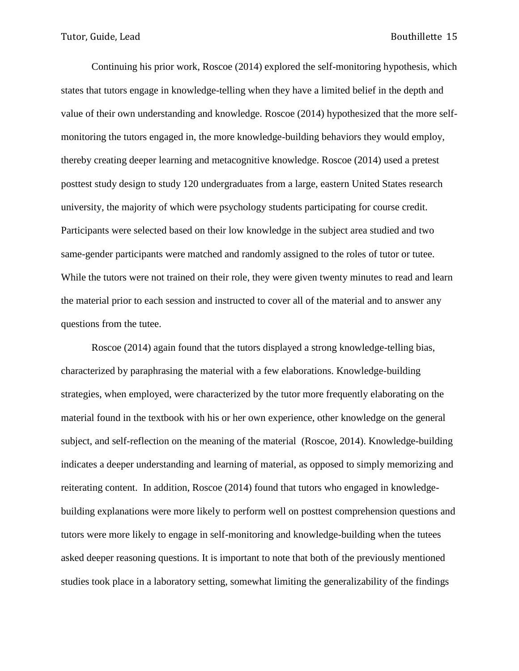Continuing his prior work, Roscoe (2014) explored the self-monitoring hypothesis, which states that tutors engage in knowledge-telling when they have a limited belief in the depth and value of their own understanding and knowledge. Roscoe (2014) hypothesized that the more selfmonitoring the tutors engaged in, the more knowledge-building behaviors they would employ, thereby creating deeper learning and metacognitive knowledge. Roscoe (2014) used a pretest posttest study design to study 120 undergraduates from a large, eastern United States research university, the majority of which were psychology students participating for course credit. Participants were selected based on their low knowledge in the subject area studied and two same-gender participants were matched and randomly assigned to the roles of tutor or tutee. While the tutors were not trained on their role, they were given twenty minutes to read and learn the material prior to each session and instructed to cover all of the material and to answer any questions from the tutee.

Roscoe (2014) again found that the tutors displayed a strong knowledge-telling bias, characterized by paraphrasing the material with a few elaborations. Knowledge-building strategies, when employed, were characterized by the tutor more frequently elaborating on the material found in the textbook with his or her own experience, other knowledge on the general subject, and self-reflection on the meaning of the material (Roscoe, 2014). Knowledge-building indicates a deeper understanding and learning of material, as opposed to simply memorizing and reiterating content. In addition, Roscoe (2014) found that tutors who engaged in knowledgebuilding explanations were more likely to perform well on posttest comprehension questions and tutors were more likely to engage in self-monitoring and knowledge-building when the tutees asked deeper reasoning questions. It is important to note that both of the previously mentioned studies took place in a laboratory setting, somewhat limiting the generalizability of the findings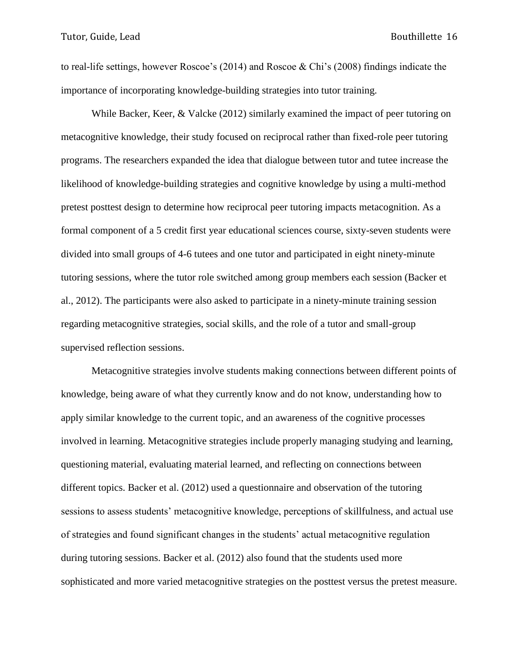to real-life settings, however Roscoe's (2014) and Roscoe & Chi's (2008) findings indicate the importance of incorporating knowledge-building strategies into tutor training.

While Backer, Keer, & Valcke (2012) similarly examined the impact of peer tutoring on metacognitive knowledge, their study focused on reciprocal rather than fixed-role peer tutoring programs. The researchers expanded the idea that dialogue between tutor and tutee increase the likelihood of knowledge-building strategies and cognitive knowledge by using a multi-method pretest posttest design to determine how reciprocal peer tutoring impacts metacognition. As a formal component of a 5 credit first year educational sciences course, sixty-seven students were divided into small groups of 4-6 tutees and one tutor and participated in eight ninety-minute tutoring sessions, where the tutor role switched among group members each session (Backer et al., 2012). The participants were also asked to participate in a ninety-minute training session regarding metacognitive strategies, social skills, and the role of a tutor and small-group supervised reflection sessions.

Metacognitive strategies involve students making connections between different points of knowledge, being aware of what they currently know and do not know, understanding how to apply similar knowledge to the current topic, and an awareness of the cognitive processes involved in learning. Metacognitive strategies include properly managing studying and learning, questioning material, evaluating material learned, and reflecting on connections between different topics. Backer et al. (2012) used a questionnaire and observation of the tutoring sessions to assess students' metacognitive knowledge, perceptions of skillfulness, and actual use of strategies and found significant changes in the students' actual metacognitive regulation during tutoring sessions. Backer et al. (2012) also found that the students used more sophisticated and more varied metacognitive strategies on the posttest versus the pretest measure.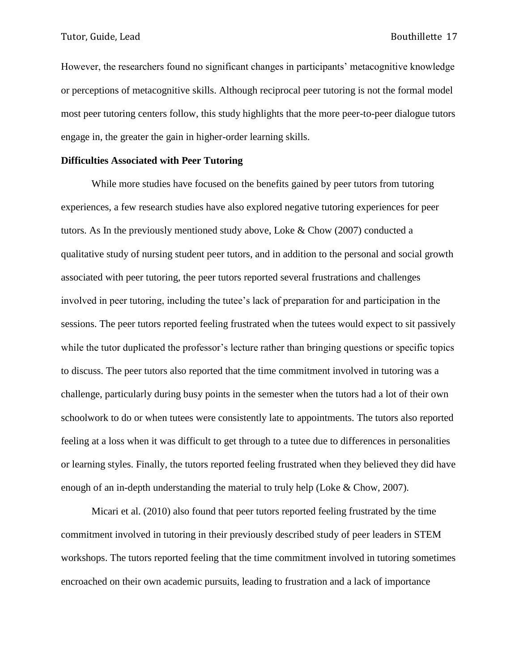However, the researchers found no significant changes in participants' metacognitive knowledge or perceptions of metacognitive skills. Although reciprocal peer tutoring is not the formal model most peer tutoring centers follow, this study highlights that the more peer-to-peer dialogue tutors engage in, the greater the gain in higher-order learning skills.

#### **Difficulties Associated with Peer Tutoring**

While more studies have focused on the benefits gained by peer tutors from tutoring experiences, a few research studies have also explored negative tutoring experiences for peer tutors. As In the previously mentioned study above, Loke & Chow (2007) conducted a qualitative study of nursing student peer tutors, and in addition to the personal and social growth associated with peer tutoring, the peer tutors reported several frustrations and challenges involved in peer tutoring, including the tutee's lack of preparation for and participation in the sessions. The peer tutors reported feeling frustrated when the tutees would expect to sit passively while the tutor duplicated the professor's lecture rather than bringing questions or specific topics to discuss. The peer tutors also reported that the time commitment involved in tutoring was a challenge, particularly during busy points in the semester when the tutors had a lot of their own schoolwork to do or when tutees were consistently late to appointments. The tutors also reported feeling at a loss when it was difficult to get through to a tutee due to differences in personalities or learning styles. Finally, the tutors reported feeling frustrated when they believed they did have enough of an in-depth understanding the material to truly help (Loke & Chow, 2007).

Micari et al. (2010) also found that peer tutors reported feeling frustrated by the time commitment involved in tutoring in their previously described study of peer leaders in STEM workshops. The tutors reported feeling that the time commitment involved in tutoring sometimes encroached on their own academic pursuits, leading to frustration and a lack of importance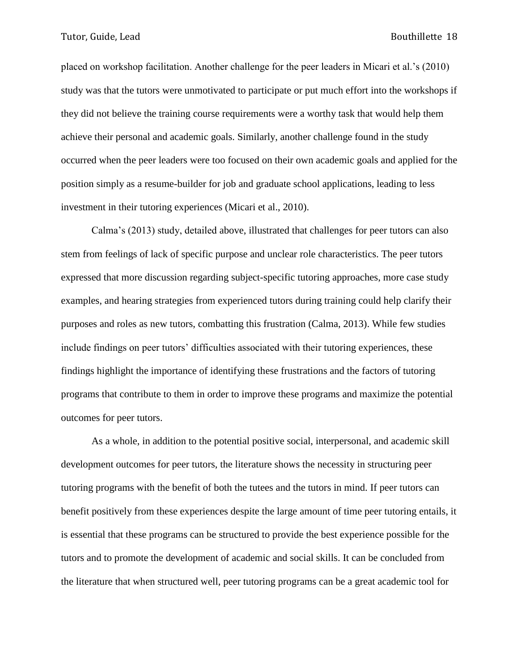placed on workshop facilitation. Another challenge for the peer leaders in Micari et al.'s (2010) study was that the tutors were unmotivated to participate or put much effort into the workshops if they did not believe the training course requirements were a worthy task that would help them achieve their personal and academic goals. Similarly, another challenge found in the study occurred when the peer leaders were too focused on their own academic goals and applied for the position simply as a resume-builder for job and graduate school applications, leading to less investment in their tutoring experiences (Micari et al., 2010).

Calma's (2013) study, detailed above, illustrated that challenges for peer tutors can also stem from feelings of lack of specific purpose and unclear role characteristics. The peer tutors expressed that more discussion regarding subject-specific tutoring approaches, more case study examples, and hearing strategies from experienced tutors during training could help clarify their purposes and roles as new tutors, combatting this frustration (Calma, 2013). While few studies include findings on peer tutors' difficulties associated with their tutoring experiences, these findings highlight the importance of identifying these frustrations and the factors of tutoring programs that contribute to them in order to improve these programs and maximize the potential outcomes for peer tutors.

As a whole, in addition to the potential positive social, interpersonal, and academic skill development outcomes for peer tutors, the literature shows the necessity in structuring peer tutoring programs with the benefit of both the tutees and the tutors in mind. If peer tutors can benefit positively from these experiences despite the large amount of time peer tutoring entails, it is essential that these programs can be structured to provide the best experience possible for the tutors and to promote the development of academic and social skills. It can be concluded from the literature that when structured well, peer tutoring programs can be a great academic tool for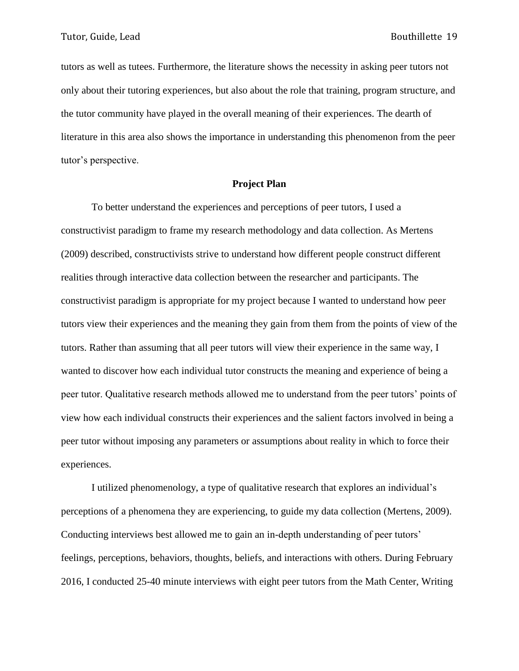tutors as well as tutees. Furthermore, the literature shows the necessity in asking peer tutors not only about their tutoring experiences, but also about the role that training, program structure, and the tutor community have played in the overall meaning of their experiences. The dearth of literature in this area also shows the importance in understanding this phenomenon from the peer tutor's perspective.

#### **Project Plan**

To better understand the experiences and perceptions of peer tutors, I used a constructivist paradigm to frame my research methodology and data collection. As Mertens (2009) described, constructivists strive to understand how different people construct different realities through interactive data collection between the researcher and participants. The constructivist paradigm is appropriate for my project because I wanted to understand how peer tutors view their experiences and the meaning they gain from them from the points of view of the tutors. Rather than assuming that all peer tutors will view their experience in the same way, I wanted to discover how each individual tutor constructs the meaning and experience of being a peer tutor. Qualitative research methods allowed me to understand from the peer tutors' points of view how each individual constructs their experiences and the salient factors involved in being a peer tutor without imposing any parameters or assumptions about reality in which to force their experiences.

I utilized phenomenology, a type of qualitative research that explores an individual's perceptions of a phenomena they are experiencing, to guide my data collection (Mertens, 2009). Conducting interviews best allowed me to gain an in-depth understanding of peer tutors' feelings, perceptions, behaviors, thoughts, beliefs, and interactions with others. During February 2016, I conducted 25-40 minute interviews with eight peer tutors from the Math Center, Writing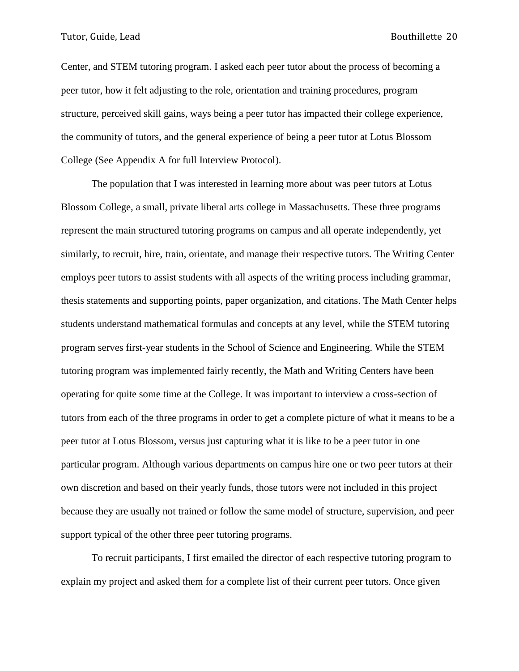Center, and STEM tutoring program. I asked each peer tutor about the process of becoming a peer tutor, how it felt adjusting to the role, orientation and training procedures, program structure, perceived skill gains, ways being a peer tutor has impacted their college experience, the community of tutors, and the general experience of being a peer tutor at Lotus Blossom College (See Appendix A for full Interview Protocol).

The population that I was interested in learning more about was peer tutors at Lotus Blossom College, a small, private liberal arts college in Massachusetts. These three programs represent the main structured tutoring programs on campus and all operate independently, yet similarly, to recruit, hire, train, orientate, and manage their respective tutors. The Writing Center employs peer tutors to assist students with all aspects of the writing process including grammar, thesis statements and supporting points, paper organization, and citations. The Math Center helps students understand mathematical formulas and concepts at any level, while the STEM tutoring program serves first-year students in the School of Science and Engineering. While the STEM tutoring program was implemented fairly recently, the Math and Writing Centers have been operating for quite some time at the College. It was important to interview a cross-section of tutors from each of the three programs in order to get a complete picture of what it means to be a peer tutor at Lotus Blossom, versus just capturing what it is like to be a peer tutor in one particular program. Although various departments on campus hire one or two peer tutors at their own discretion and based on their yearly funds, those tutors were not included in this project because they are usually not trained or follow the same model of structure, supervision, and peer support typical of the other three peer tutoring programs.

To recruit participants, I first emailed the director of each respective tutoring program to explain my project and asked them for a complete list of their current peer tutors. Once given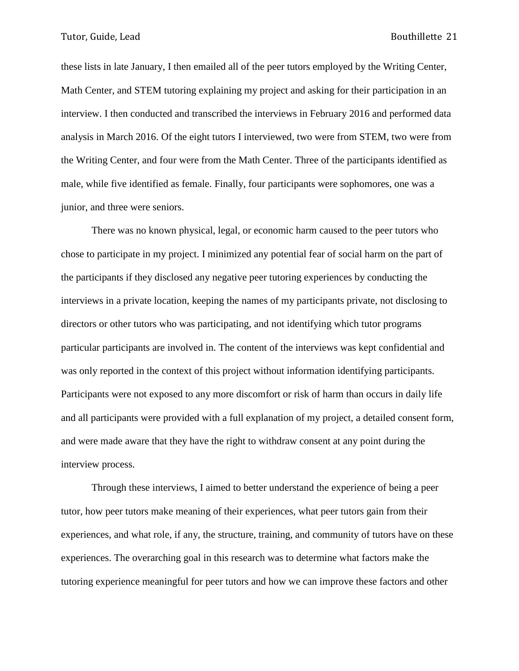these lists in late January, I then emailed all of the peer tutors employed by the Writing Center, Math Center, and STEM tutoring explaining my project and asking for their participation in an interview. I then conducted and transcribed the interviews in February 2016 and performed data analysis in March 2016. Of the eight tutors I interviewed, two were from STEM, two were from the Writing Center, and four were from the Math Center. Three of the participants identified as male, while five identified as female. Finally, four participants were sophomores, one was a junior, and three were seniors.

There was no known physical, legal, or economic harm caused to the peer tutors who chose to participate in my project. I minimized any potential fear of social harm on the part of the participants if they disclosed any negative peer tutoring experiences by conducting the interviews in a private location, keeping the names of my participants private, not disclosing to directors or other tutors who was participating, and not identifying which tutor programs particular participants are involved in. The content of the interviews was kept confidential and was only reported in the context of this project without information identifying participants. Participants were not exposed to any more discomfort or risk of harm than occurs in daily life and all participants were provided with a full explanation of my project, a detailed consent form, and were made aware that they have the right to withdraw consent at any point during the interview process.

Through these interviews, I aimed to better understand the experience of being a peer tutor, how peer tutors make meaning of their experiences, what peer tutors gain from their experiences, and what role, if any, the structure, training, and community of tutors have on these experiences. The overarching goal in this research was to determine what factors make the tutoring experience meaningful for peer tutors and how we can improve these factors and other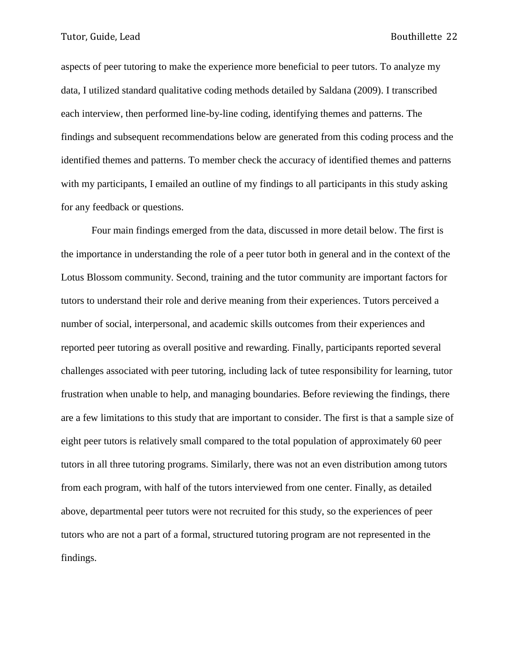aspects of peer tutoring to make the experience more beneficial to peer tutors. To analyze my data, I utilized standard qualitative coding methods detailed by Saldana (2009). I transcribed each interview, then performed line-by-line coding, identifying themes and patterns. The findings and subsequent recommendations below are generated from this coding process and the identified themes and patterns. To member check the accuracy of identified themes and patterns with my participants, I emailed an outline of my findings to all participants in this study asking for any feedback or questions.

Four main findings emerged from the data, discussed in more detail below. The first is the importance in understanding the role of a peer tutor both in general and in the context of the Lotus Blossom community. Second, training and the tutor community are important factors for tutors to understand their role and derive meaning from their experiences. Tutors perceived a number of social, interpersonal, and academic skills outcomes from their experiences and reported peer tutoring as overall positive and rewarding. Finally, participants reported several challenges associated with peer tutoring, including lack of tutee responsibility for learning, tutor frustration when unable to help, and managing boundaries. Before reviewing the findings, there are a few limitations to this study that are important to consider. The first is that a sample size of eight peer tutors is relatively small compared to the total population of approximately 60 peer tutors in all three tutoring programs. Similarly, there was not an even distribution among tutors from each program, with half of the tutors interviewed from one center. Finally, as detailed above, departmental peer tutors were not recruited for this study, so the experiences of peer tutors who are not a part of a formal, structured tutoring program are not represented in the findings.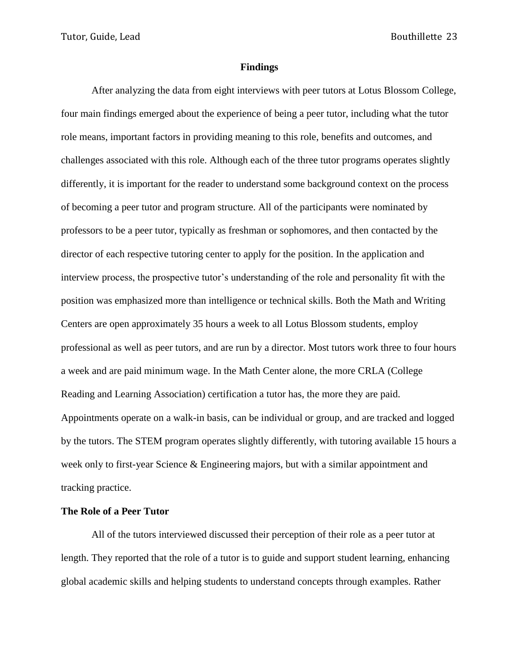#### **Findings**

After analyzing the data from eight interviews with peer tutors at Lotus Blossom College, four main findings emerged about the experience of being a peer tutor, including what the tutor role means, important factors in providing meaning to this role, benefits and outcomes, and challenges associated with this role. Although each of the three tutor programs operates slightly differently, it is important for the reader to understand some background context on the process of becoming a peer tutor and program structure. All of the participants were nominated by professors to be a peer tutor, typically as freshman or sophomores, and then contacted by the director of each respective tutoring center to apply for the position. In the application and interview process, the prospective tutor's understanding of the role and personality fit with the position was emphasized more than intelligence or technical skills. Both the Math and Writing Centers are open approximately 35 hours a week to all Lotus Blossom students, employ professional as well as peer tutors, and are run by a director. Most tutors work three to four hours a week and are paid minimum wage. In the Math Center alone, the more CRLA (College Reading and Learning Association) certification a tutor has, the more they are paid. Appointments operate on a walk-in basis, can be individual or group, and are tracked and logged by the tutors. The STEM program operates slightly differently, with tutoring available 15 hours a week only to first-year Science & Engineering majors, but with a similar appointment and tracking practice.

#### **The Role of a Peer Tutor**

All of the tutors interviewed discussed their perception of their role as a peer tutor at length. They reported that the role of a tutor is to guide and support student learning, enhancing global academic skills and helping students to understand concepts through examples. Rather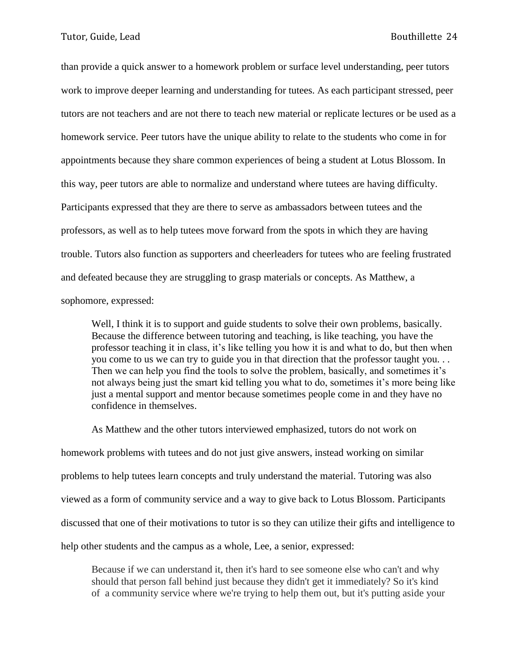than provide a quick answer to a homework problem or surface level understanding, peer tutors work to improve deeper learning and understanding for tutees. As each participant stressed, peer tutors are not teachers and are not there to teach new material or replicate lectures or be used as a homework service. Peer tutors have the unique ability to relate to the students who come in for appointments because they share common experiences of being a student at Lotus Blossom. In this way, peer tutors are able to normalize and understand where tutees are having difficulty. Participants expressed that they are there to serve as ambassadors between tutees and the professors, as well as to help tutees move forward from the spots in which they are having trouble. Tutors also function as supporters and cheerleaders for tutees who are feeling frustrated and defeated because they are struggling to grasp materials or concepts. As Matthew, a sophomore, expressed:

Well, I think it is to support and guide students to solve their own problems, basically. Because the difference between tutoring and teaching, is like teaching, you have the professor teaching it in class, it's like telling you how it is and what to do, but then when you come to us we can try to guide you in that direction that the professor taught you. . . Then we can help you find the tools to solve the problem, basically, and sometimes it's not always being just the smart kid telling you what to do, sometimes it's more being like just a mental support and mentor because sometimes people come in and they have no confidence in themselves.

As Matthew and the other tutors interviewed emphasized, tutors do not work on homework problems with tutees and do not just give answers, instead working on similar problems to help tutees learn concepts and truly understand the material. Tutoring was also viewed as a form of community service and a way to give back to Lotus Blossom. Participants discussed that one of their motivations to tutor is so they can utilize their gifts and intelligence to help other students and the campus as a whole, Lee, a senior, expressed:

Because if we can understand it, then it's hard to see someone else who can't and why should that person fall behind just because they didn't get it immediately? So it's kind of a community service where we're trying to help them out, but it's putting aside your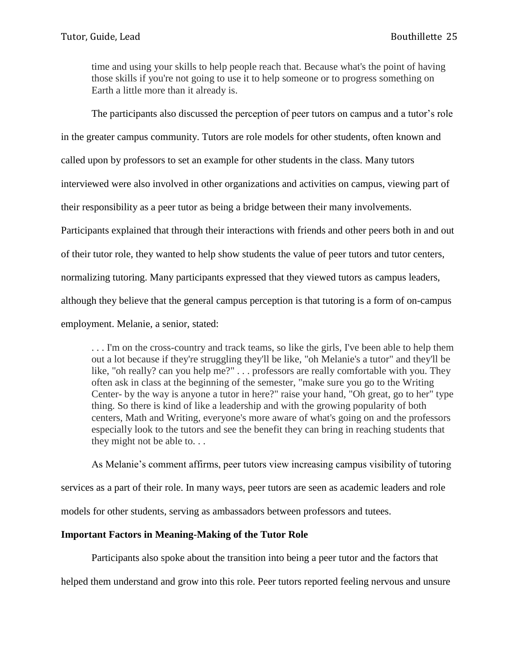time and using your skills to help people reach that. Because what's the point of having those skills if you're not going to use it to help someone or to progress something on Earth a little more than it already is.

The participants also discussed the perception of peer tutors on campus and a tutor's role

in the greater campus community. Tutors are role models for other students, often known and

called upon by professors to set an example for other students in the class. Many tutors

interviewed were also involved in other organizations and activities on campus, viewing part of

their responsibility as a peer tutor as being a bridge between their many involvements.

Participants explained that through their interactions with friends and other peers both in and out

of their tutor role, they wanted to help show students the value of peer tutors and tutor centers,

normalizing tutoring. Many participants expressed that they viewed tutors as campus leaders,

although they believe that the general campus perception is that tutoring is a form of on-campus

employment. Melanie, a senior, stated:

. . . I'm on the cross-country and track teams, so like the girls, I've been able to help them out a lot because if they're struggling they'll be like, "oh Melanie's a tutor" and they'll be like, "oh really? can you help me?" . . . professors are really comfortable with you. They often ask in class at the beginning of the semester, "make sure you go to the Writing Center- by the way is anyone a tutor in here?" raise your hand, "Oh great, go to her" type thing. So there is kind of like a leadership and with the growing popularity of both centers, Math and Writing, everyone's more aware of what's going on and the professors especially look to the tutors and see the benefit they can bring in reaching students that they might not be able to. . .

As Melanie's comment affirms, peer tutors view increasing campus visibility of tutoring services as a part of their role. In many ways, peer tutors are seen as academic leaders and role models for other students, serving as ambassadors between professors and tutees.

#### **Important Factors in Meaning-Making of the Tutor Role**

Participants also spoke about the transition into being a peer tutor and the factors that

helped them understand and grow into this role. Peer tutors reported feeling nervous and unsure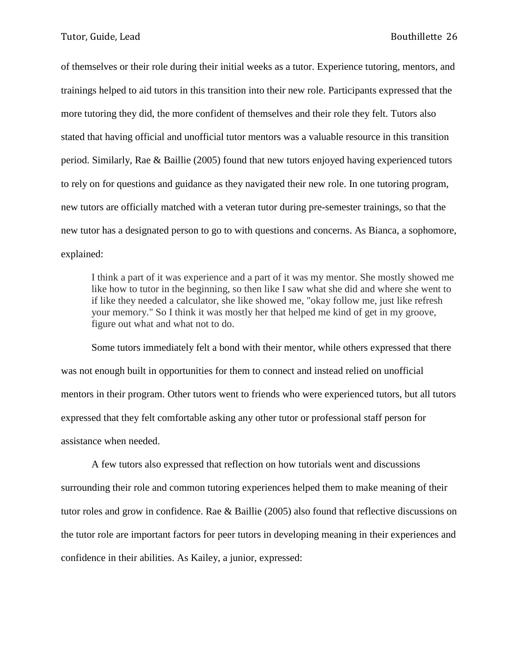of themselves or their role during their initial weeks as a tutor. Experience tutoring, mentors, and trainings helped to aid tutors in this transition into their new role. Participants expressed that the more tutoring they did, the more confident of themselves and their role they felt. Tutors also stated that having official and unofficial tutor mentors was a valuable resource in this transition period. Similarly, Rae & Baillie (2005) found that new tutors enjoyed having experienced tutors to rely on for questions and guidance as they navigated their new role. In one tutoring program, new tutors are officially matched with a veteran tutor during pre-semester trainings, so that the new tutor has a designated person to go to with questions and concerns. As Bianca, a sophomore, explained:

I think a part of it was experience and a part of it was my mentor. She mostly showed me like how to tutor in the beginning, so then like I saw what she did and where she went to if like they needed a calculator, she like showed me, "okay follow me, just like refresh your memory." So I think it was mostly her that helped me kind of get in my groove, figure out what and what not to do.

Some tutors immediately felt a bond with their mentor, while others expressed that there was not enough built in opportunities for them to connect and instead relied on unofficial mentors in their program. Other tutors went to friends who were experienced tutors, but all tutors expressed that they felt comfortable asking any other tutor or professional staff person for assistance when needed.

A few tutors also expressed that reflection on how tutorials went and discussions surrounding their role and common tutoring experiences helped them to make meaning of their tutor roles and grow in confidence. Rae & Baillie (2005) also found that reflective discussions on the tutor role are important factors for peer tutors in developing meaning in their experiences and confidence in their abilities. As Kailey, a junior, expressed: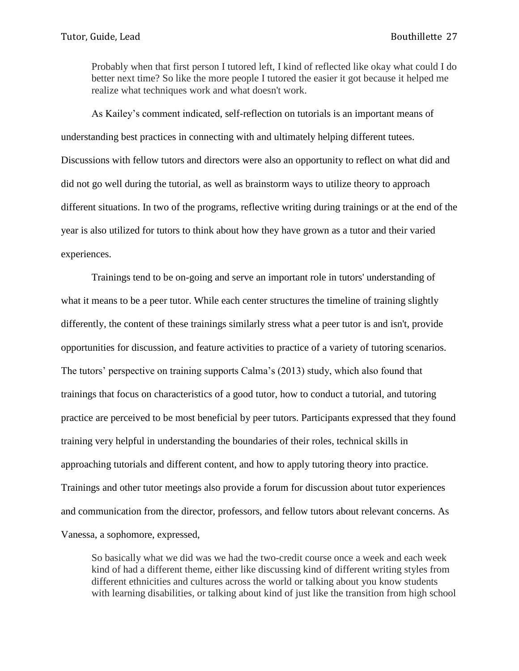Probably when that first person I tutored left, I kind of reflected like okay what could I do better next time? So like the more people I tutored the easier it got because it helped me realize what techniques work and what doesn't work.

As Kailey's comment indicated, self-reflection on tutorials is an important means of understanding best practices in connecting with and ultimately helping different tutees. Discussions with fellow tutors and directors were also an opportunity to reflect on what did and did not go well during the tutorial, as well as brainstorm ways to utilize theory to approach different situations. In two of the programs, reflective writing during trainings or at the end of the year is also utilized for tutors to think about how they have grown as a tutor and their varied experiences.

Trainings tend to be on-going and serve an important role in tutors' understanding of what it means to be a peer tutor. While each center structures the timeline of training slightly differently, the content of these trainings similarly stress what a peer tutor is and isn't, provide opportunities for discussion, and feature activities to practice of a variety of tutoring scenarios. The tutors' perspective on training supports Calma's (2013) study, which also found that trainings that focus on characteristics of a good tutor, how to conduct a tutorial, and tutoring practice are perceived to be most beneficial by peer tutors. Participants expressed that they found training very helpful in understanding the boundaries of their roles, technical skills in approaching tutorials and different content, and how to apply tutoring theory into practice. Trainings and other tutor meetings also provide a forum for discussion about tutor experiences and communication from the director, professors, and fellow tutors about relevant concerns. As Vanessa, a sophomore, expressed,

So basically what we did was we had the two-credit course once a week and each week kind of had a different theme, either like discussing kind of different writing styles from different ethnicities and cultures across the world or talking about you know students with learning disabilities, or talking about kind of just like the transition from high school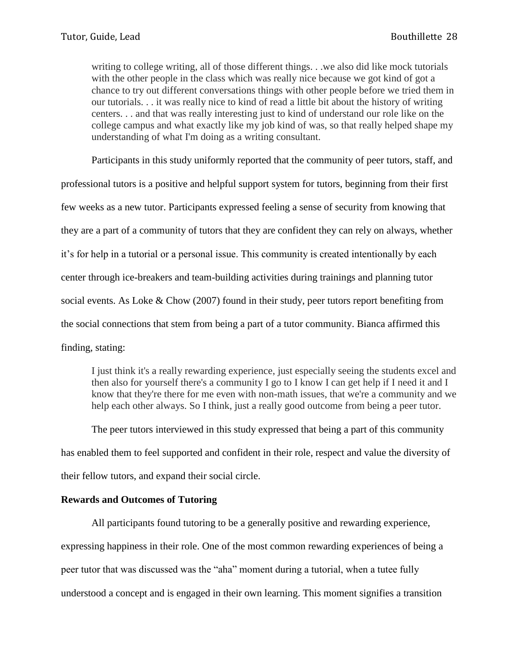writing to college writing, all of those different things. . .we also did like mock tutorials with the other people in the class which was really nice because we got kind of got a chance to try out different conversations things with other people before we tried them in our tutorials. . . it was really nice to kind of read a little bit about the history of writing centers. . . and that was really interesting just to kind of understand our role like on the college campus and what exactly like my job kind of was, so that really helped shape my understanding of what I'm doing as a writing consultant.

Participants in this study uniformly reported that the community of peer tutors, staff, and

professional tutors is a positive and helpful support system for tutors, beginning from their first few weeks as a new tutor. Participants expressed feeling a sense of security from knowing that they are a part of a community of tutors that they are confident they can rely on always, whether it's for help in a tutorial or a personal issue. This community is created intentionally by each center through ice-breakers and team-building activities during trainings and planning tutor social events. As Loke & Chow (2007) found in their study, peer tutors report benefiting from the social connections that stem from being a part of a tutor community. Bianca affirmed this finding, stating:

I just think it's a really rewarding experience, just especially seeing the students excel and then also for yourself there's a community I go to I know I can get help if I need it and I know that they're there for me even with non-math issues, that we're a community and we help each other always. So I think, just a really good outcome from being a peer tutor.

The peer tutors interviewed in this study expressed that being a part of this community has enabled them to feel supported and confident in their role, respect and value the diversity of their fellow tutors, and expand their social circle.

#### **Rewards and Outcomes of Tutoring**

All participants found tutoring to be a generally positive and rewarding experience, expressing happiness in their role. One of the most common rewarding experiences of being a peer tutor that was discussed was the "aha" moment during a tutorial, when a tutee fully understood a concept and is engaged in their own learning. This moment signifies a transition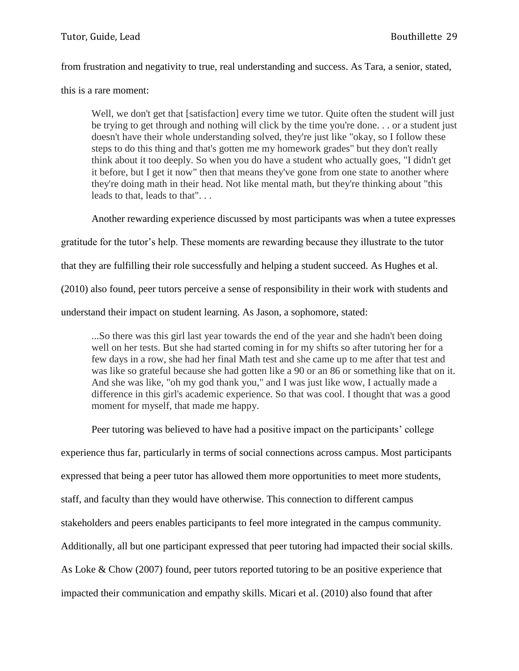from frustration and negativity to true, real understanding and success. As Tara, a senior, stated,

this is a rare moment:

Well, we don't get that [satisfaction] every time we tutor. Quite often the student will just be trying to get through and nothing will click by the time you're done. . . or a student just doesn't have their whole understanding solved, they're just like "okay, so I follow these steps to do this thing and that's gotten me my homework grades" but they don't really think about it too deeply. So when you do have a student who actually goes, "I didn't get it before, but I get it now" then that means they've gone from one state to another where they're doing math in their head. Not like mental math, but they're thinking about "this leads to that, leads to that". . .

Another rewarding experience discussed by most participants was when a tutee expresses

gratitude for the tutor's help. These moments are rewarding because they illustrate to the tutor

that they are fulfilling their role successfully and helping a student succeed. As Hughes et al.

(2010) also found, peer tutors perceive a sense of responsibility in their work with students and

understand their impact on student learning. As Jason, a sophomore, stated:

...So there was this girl last year towards the end of the year and she hadn't been doing well on her tests. But she had started coming in for my shifts so after tutoring her for a few days in a row, she had her final Math test and she came up to me after that test and was like so grateful because she had gotten like a 90 or an 86 or something like that on it. And she was like, "oh my god thank you," and I was just like wow, I actually made a difference in this girl's academic experience. So that was cool. I thought that was a good moment for myself, that made me happy.

Peer tutoring was believed to have had a positive impact on the participants' college

experience thus far, particularly in terms of social connections across campus. Most participants

expressed that being a peer tutor has allowed them more opportunities to meet more students,

staff, and faculty than they would have otherwise. This connection to different campus

stakeholders and peers enables participants to feel more integrated in the campus community.

Additionally, all but one participant expressed that peer tutoring had impacted their social skills.

As Loke & Chow (2007) found, peer tutors reported tutoring to be an positive experience that

impacted their communication and empathy skills. Micari et al. (2010) also found that after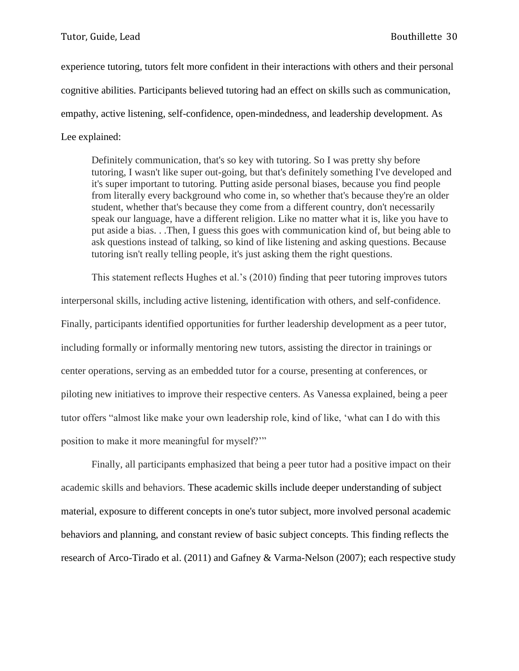experience tutoring, tutors felt more confident in their interactions with others and their personal cognitive abilities. Participants believed tutoring had an effect on skills such as communication, empathy, active listening, self-confidence, open-mindedness, and leadership development. As Lee explained:

Definitely communication, that's so key with tutoring. So I was pretty shy before tutoring, I wasn't like super out-going, but that's definitely something I've developed and it's super important to tutoring. Putting aside personal biases, because you find people from literally every background who come in, so whether that's because they're an older student, whether that's because they come from a different country, don't necessarily speak our language, have a different religion. Like no matter what it is, like you have to put aside a bias. . .Then, I guess this goes with communication kind of, but being able to ask questions instead of talking, so kind of like listening and asking questions. Because tutoring isn't really telling people, it's just asking them the right questions.

This statement reflects Hughes et al.'s (2010) finding that peer tutoring improves tutors interpersonal skills, including active listening, identification with others, and self-confidence. Finally, participants identified opportunities for further leadership development as a peer tutor, including formally or informally mentoring new tutors, assisting the director in trainings or center operations, serving as an embedded tutor for a course, presenting at conferences, or piloting new initiatives to improve their respective centers. As Vanessa explained, being a peer tutor offers "almost like make your own leadership role, kind of like, 'what can I do with this position to make it more meaningful for myself?'"

Finally, all participants emphasized that being a peer tutor had a positive impact on their academic skills and behaviors. These academic skills include deeper understanding of subject material, exposure to different concepts in one's tutor subject, more involved personal academic behaviors and planning, and constant review of basic subject concepts. This finding reflects the research of Arco-Tirado et al. (2011) and Gafney & Varma-Nelson (2007); each respective study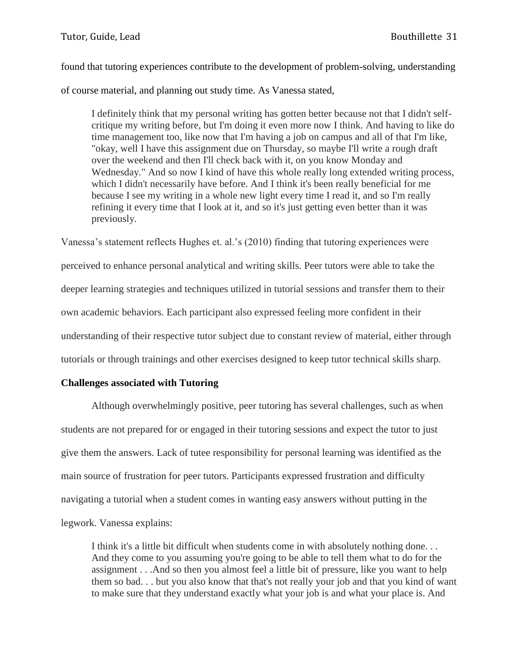found that tutoring experiences contribute to the development of problem-solving, understanding of course material, and planning out study time. As Vanessa stated,

I definitely think that my personal writing has gotten better because not that I didn't selfcritique my writing before, but I'm doing it even more now I think. And having to like do time management too, like now that I'm having a job on campus and all of that I'm like, "okay, well I have this assignment due on Thursday, so maybe I'll write a rough draft over the weekend and then I'll check back with it, on you know Monday and Wednesday." And so now I kind of have this whole really long extended writing process, which I didn't necessarily have before. And I think it's been really beneficial for me because I see my writing in a whole new light every time I read it, and so I'm really refining it every time that I look at it, and so it's just getting even better than it was previously.

Vanessa's statement reflects Hughes et. al.'s (2010) finding that tutoring experiences were perceived to enhance personal analytical and writing skills. Peer tutors were able to take the deeper learning strategies and techniques utilized in tutorial sessions and transfer them to their own academic behaviors. Each participant also expressed feeling more confident in their understanding of their respective tutor subject due to constant review of material, either through tutorials or through trainings and other exercises designed to keep tutor technical skills sharp.

#### **Challenges associated with Tutoring**

Although overwhelmingly positive, peer tutoring has several challenges, such as when students are not prepared for or engaged in their tutoring sessions and expect the tutor to just give them the answers. Lack of tutee responsibility for personal learning was identified as the main source of frustration for peer tutors. Participants expressed frustration and difficulty navigating a tutorial when a student comes in wanting easy answers without putting in the legwork. Vanessa explains:

I think it's a little bit difficult when students come in with absolutely nothing done. . . And they come to you assuming you're going to be able to tell them what to do for the assignment . . .And so then you almost feel a little bit of pressure, like you want to help them so bad. . . but you also know that that's not really your job and that you kind of want to make sure that they understand exactly what your job is and what your place is. And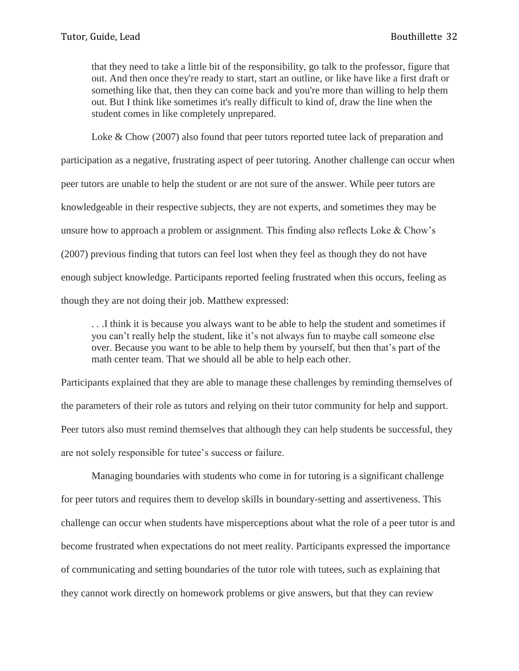that they need to take a little bit of the responsibility, go talk to the professor, figure that out. And then once they're ready to start, start an outline, or like have like a first draft or something like that, then they can come back and you're more than willing to help them out. But I think like sometimes it's really difficult to kind of, draw the line when the student comes in like completely unprepared.

Loke & Chow (2007) also found that peer tutors reported tutee lack of preparation and participation as a negative, frustrating aspect of peer tutoring. Another challenge can occur when peer tutors are unable to help the student or are not sure of the answer. While peer tutors are knowledgeable in their respective subjects, they are not experts, and sometimes they may be unsure how to approach a problem or assignment. This finding also reflects Loke & Chow's (2007) previous finding that tutors can feel lost when they feel as though they do not have enough subject knowledge. Participants reported feeling frustrated when this occurs, feeling as though they are not doing their job. Matthew expressed:

. . .I think it is because you always want to be able to help the student and sometimes if you can't really help the student, like it's not always fun to maybe call someone else over. Because you want to be able to help them by yourself, but then that's part of the math center team. That we should all be able to help each other.

Participants explained that they are able to manage these challenges by reminding themselves of the parameters of their role as tutors and relying on their tutor community for help and support. Peer tutors also must remind themselves that although they can help students be successful, they are not solely responsible for tutee's success or failure.

Managing boundaries with students who come in for tutoring is a significant challenge for peer tutors and requires them to develop skills in boundary-setting and assertiveness. This challenge can occur when students have misperceptions about what the role of a peer tutor is and become frustrated when expectations do not meet reality. Participants expressed the importance of communicating and setting boundaries of the tutor role with tutees, such as explaining that they cannot work directly on homework problems or give answers, but that they can review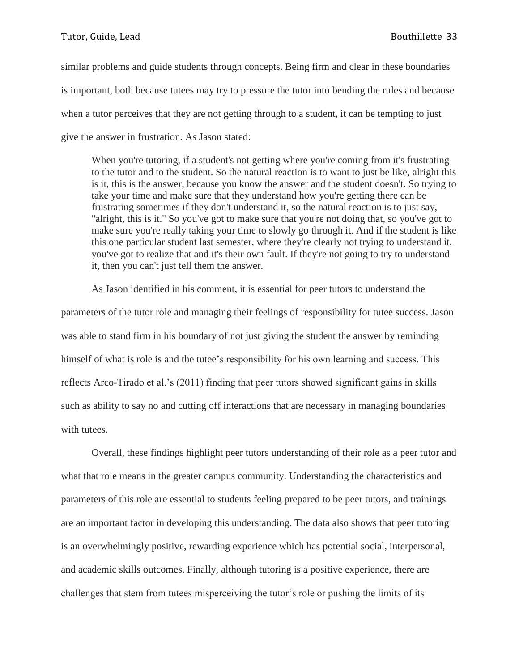similar problems and guide students through concepts. Being firm and clear in these boundaries is important, both because tutees may try to pressure the tutor into bending the rules and because when a tutor perceives that they are not getting through to a student, it can be tempting to just give the answer in frustration. As Jason stated:

When you're tutoring, if a student's not getting where you're coming from it's frustrating to the tutor and to the student. So the natural reaction is to want to just be like, alright this is it, this is the answer, because you know the answer and the student doesn't. So trying to take your time and make sure that they understand how you're getting there can be frustrating sometimes if they don't understand it, so the natural reaction is to just say, "alright, this is it." So you've got to make sure that you're not doing that, so you've got to make sure you're really taking your time to slowly go through it. And if the student is like this one particular student last semester, where they're clearly not trying to understand it, you've got to realize that and it's their own fault. If they're not going to try to understand it, then you can't just tell them the answer.

As Jason identified in his comment, it is essential for peer tutors to understand the parameters of the tutor role and managing their feelings of responsibility for tutee success. Jason was able to stand firm in his boundary of not just giving the student the answer by reminding himself of what is role is and the tutee's responsibility for his own learning and success. This reflects Arco-Tirado et al.'s (2011) finding that peer tutors showed significant gains in skills such as ability to say no and cutting off interactions that are necessary in managing boundaries with tutees.

Overall, these findings highlight peer tutors understanding of their role as a peer tutor and what that role means in the greater campus community. Understanding the characteristics and parameters of this role are essential to students feeling prepared to be peer tutors, and trainings are an important factor in developing this understanding. The data also shows that peer tutoring is an overwhelmingly positive, rewarding experience which has potential social, interpersonal, and academic skills outcomes. Finally, although tutoring is a positive experience, there are challenges that stem from tutees misperceiving the tutor's role or pushing the limits of its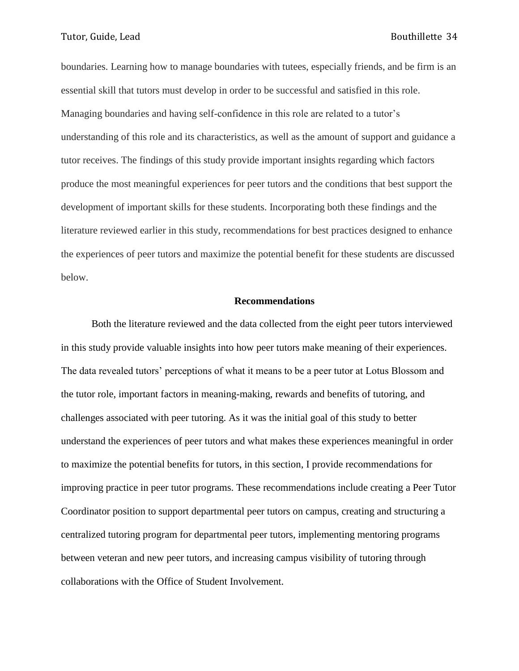boundaries. Learning how to manage boundaries with tutees, especially friends, and be firm is an essential skill that tutors must develop in order to be successful and satisfied in this role. Managing boundaries and having self-confidence in this role are related to a tutor's understanding of this role and its characteristics, as well as the amount of support and guidance a tutor receives. The findings of this study provide important insights regarding which factors produce the most meaningful experiences for peer tutors and the conditions that best support the development of important skills for these students. Incorporating both these findings and the literature reviewed earlier in this study, recommendations for best practices designed to enhance the experiences of peer tutors and maximize the potential benefit for these students are discussed below.

#### **Recommendations**

Both the literature reviewed and the data collected from the eight peer tutors interviewed in this study provide valuable insights into how peer tutors make meaning of their experiences. The data revealed tutors' perceptions of what it means to be a peer tutor at Lotus Blossom and the tutor role, important factors in meaning-making, rewards and benefits of tutoring, and challenges associated with peer tutoring. As it was the initial goal of this study to better understand the experiences of peer tutors and what makes these experiences meaningful in order to maximize the potential benefits for tutors, in this section, I provide recommendations for improving practice in peer tutor programs. These recommendations include creating a Peer Tutor Coordinator position to support departmental peer tutors on campus, creating and structuring a centralized tutoring program for departmental peer tutors, implementing mentoring programs between veteran and new peer tutors, and increasing campus visibility of tutoring through collaborations with the Office of Student Involvement.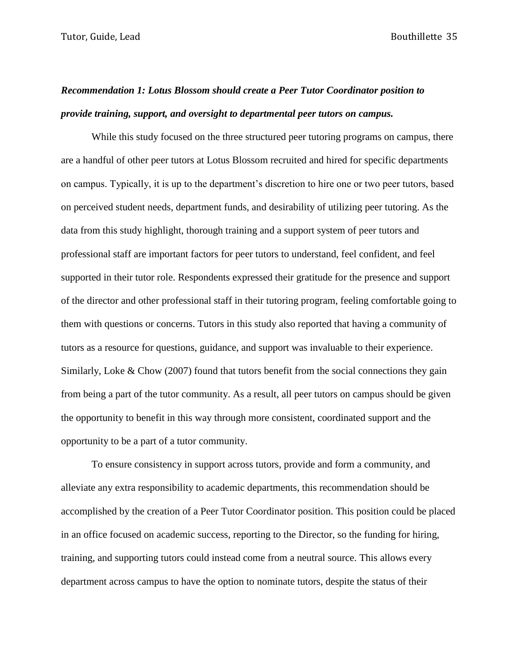# *Recommendation 1: Lotus Blossom should create a Peer Tutor Coordinator position to provide training, support, and oversight to departmental peer tutors on campus.*

While this study focused on the three structured peer tutoring programs on campus, there are a handful of other peer tutors at Lotus Blossom recruited and hired for specific departments on campus. Typically, it is up to the department's discretion to hire one or two peer tutors, based on perceived student needs, department funds, and desirability of utilizing peer tutoring. As the data from this study highlight, thorough training and a support system of peer tutors and professional staff are important factors for peer tutors to understand, feel confident, and feel supported in their tutor role. Respondents expressed their gratitude for the presence and support of the director and other professional staff in their tutoring program, feeling comfortable going to them with questions or concerns. Tutors in this study also reported that having a community of tutors as a resource for questions, guidance, and support was invaluable to their experience. Similarly, Loke & Chow (2007) found that tutors benefit from the social connections they gain from being a part of the tutor community. As a result, all peer tutors on campus should be given the opportunity to benefit in this way through more consistent, coordinated support and the opportunity to be a part of a tutor community.

To ensure consistency in support across tutors, provide and form a community, and alleviate any extra responsibility to academic departments, this recommendation should be accomplished by the creation of a Peer Tutor Coordinator position. This position could be placed in an office focused on academic success, reporting to the Director, so the funding for hiring, training, and supporting tutors could instead come from a neutral source. This allows every department across campus to have the option to nominate tutors, despite the status of their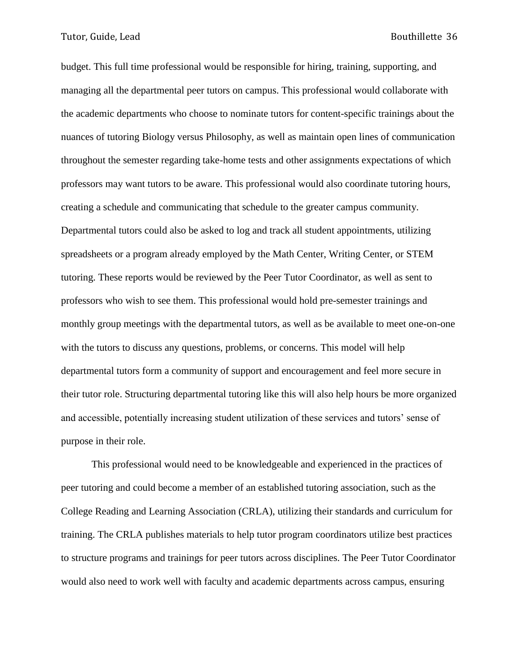budget. This full time professional would be responsible for hiring, training, supporting, and managing all the departmental peer tutors on campus. This professional would collaborate with the academic departments who choose to nominate tutors for content-specific trainings about the nuances of tutoring Biology versus Philosophy, as well as maintain open lines of communication throughout the semester regarding take-home tests and other assignments expectations of which professors may want tutors to be aware. This professional would also coordinate tutoring hours, creating a schedule and communicating that schedule to the greater campus community. Departmental tutors could also be asked to log and track all student appointments, utilizing spreadsheets or a program already employed by the Math Center, Writing Center, or STEM tutoring. These reports would be reviewed by the Peer Tutor Coordinator, as well as sent to professors who wish to see them. This professional would hold pre-semester trainings and monthly group meetings with the departmental tutors, as well as be available to meet one-on-one with the tutors to discuss any questions, problems, or concerns. This model will help departmental tutors form a community of support and encouragement and feel more secure in their tutor role. Structuring departmental tutoring like this will also help hours be more organized and accessible, potentially increasing student utilization of these services and tutors' sense of purpose in their role.

This professional would need to be knowledgeable and experienced in the practices of peer tutoring and could become a member of an established tutoring association, such as the College Reading and Learning Association (CRLA), utilizing their standards and curriculum for training. The CRLA publishes materials to help tutor program coordinators utilize best practices to structure programs and trainings for peer tutors across disciplines. The Peer Tutor Coordinator would also need to work well with faculty and academic departments across campus, ensuring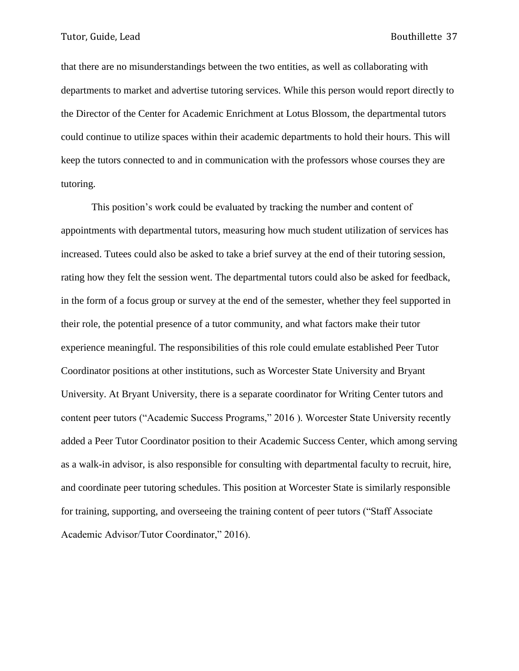that there are no misunderstandings between the two entities, as well as collaborating with departments to market and advertise tutoring services. While this person would report directly to the Director of the Center for Academic Enrichment at Lotus Blossom, the departmental tutors could continue to utilize spaces within their academic departments to hold their hours. This will keep the tutors connected to and in communication with the professors whose courses they are tutoring.

This position's work could be evaluated by tracking the number and content of appointments with departmental tutors, measuring how much student utilization of services has increased. Tutees could also be asked to take a brief survey at the end of their tutoring session, rating how they felt the session went. The departmental tutors could also be asked for feedback, in the form of a focus group or survey at the end of the semester, whether they feel supported in their role, the potential presence of a tutor community, and what factors make their tutor experience meaningful. The responsibilities of this role could emulate established Peer Tutor Coordinator positions at other institutions, such as Worcester State University and Bryant University. At Bryant University, there is a separate coordinator for Writing Center tutors and content peer tutors ("Academic Success Programs," 2016 ). Worcester State University recently added a Peer Tutor Coordinator position to their Academic Success Center, which among serving as a walk-in advisor, is also responsible for consulting with departmental faculty to recruit, hire, and coordinate peer tutoring schedules. This position at Worcester State is similarly responsible for training, supporting, and overseeing the training content of peer tutors ("Staff Associate Academic Advisor/Tutor Coordinator," 2016).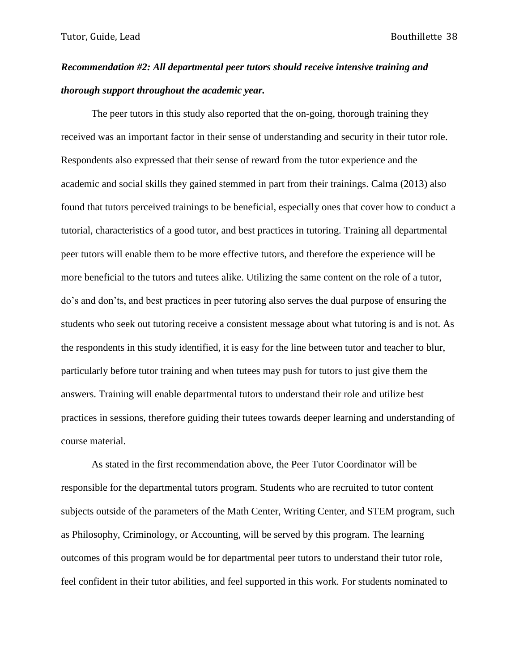# *Recommendation #2: All departmental peer tutors should receive intensive training and thorough support throughout the academic year.*

The peer tutors in this study also reported that the on-going, thorough training they received was an important factor in their sense of understanding and security in their tutor role. Respondents also expressed that their sense of reward from the tutor experience and the academic and social skills they gained stemmed in part from their trainings. Calma (2013) also found that tutors perceived trainings to be beneficial, especially ones that cover how to conduct a tutorial, characteristics of a good tutor, and best practices in tutoring. Training all departmental peer tutors will enable them to be more effective tutors, and therefore the experience will be more beneficial to the tutors and tutees alike. Utilizing the same content on the role of a tutor, do's and don'ts, and best practices in peer tutoring also serves the dual purpose of ensuring the students who seek out tutoring receive a consistent message about what tutoring is and is not. As the respondents in this study identified, it is easy for the line between tutor and teacher to blur, particularly before tutor training and when tutees may push for tutors to just give them the answers. Training will enable departmental tutors to understand their role and utilize best practices in sessions, therefore guiding their tutees towards deeper learning and understanding of course material.

As stated in the first recommendation above, the Peer Tutor Coordinator will be responsible for the departmental tutors program. Students who are recruited to tutor content subjects outside of the parameters of the Math Center, Writing Center, and STEM program, such as Philosophy, Criminology, or Accounting, will be served by this program. The learning outcomes of this program would be for departmental peer tutors to understand their tutor role, feel confident in their tutor abilities, and feel supported in this work. For students nominated to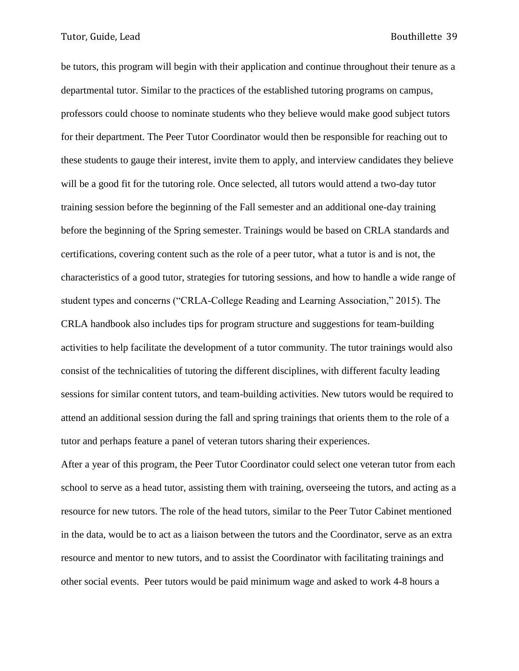be tutors, this program will begin with their application and continue throughout their tenure as a departmental tutor. Similar to the practices of the established tutoring programs on campus, professors could choose to nominate students who they believe would make good subject tutors for their department. The Peer Tutor Coordinator would then be responsible for reaching out to these students to gauge their interest, invite them to apply, and interview candidates they believe will be a good fit for the tutoring role. Once selected, all tutors would attend a two-day tutor training session before the beginning of the Fall semester and an additional one-day training before the beginning of the Spring semester. Trainings would be based on CRLA standards and certifications, covering content such as the role of a peer tutor, what a tutor is and is not, the characteristics of a good tutor, strategies for tutoring sessions, and how to handle a wide range of student types and concerns ("CRLA-College Reading and Learning Association," 2015). The CRLA handbook also includes tips for program structure and suggestions for team-building activities to help facilitate the development of a tutor community. The tutor trainings would also consist of the technicalities of tutoring the different disciplines, with different faculty leading sessions for similar content tutors, and team-building activities. New tutors would be required to attend an additional session during the fall and spring trainings that orients them to the role of a tutor and perhaps feature a panel of veteran tutors sharing their experiences.

After a year of this program, the Peer Tutor Coordinator could select one veteran tutor from each school to serve as a head tutor, assisting them with training, overseeing the tutors, and acting as a resource for new tutors. The role of the head tutors, similar to the Peer Tutor Cabinet mentioned in the data, would be to act as a liaison between the tutors and the Coordinator, serve as an extra resource and mentor to new tutors, and to assist the Coordinator with facilitating trainings and other social events. Peer tutors would be paid minimum wage and asked to work 4-8 hours a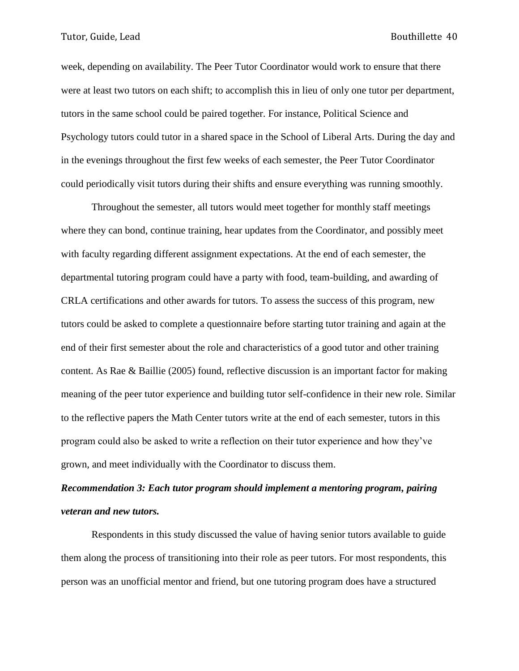week, depending on availability. The Peer Tutor Coordinator would work to ensure that there were at least two tutors on each shift; to accomplish this in lieu of only one tutor per department, tutors in the same school could be paired together. For instance, Political Science and Psychology tutors could tutor in a shared space in the School of Liberal Arts. During the day and in the evenings throughout the first few weeks of each semester, the Peer Tutor Coordinator could periodically visit tutors during their shifts and ensure everything was running smoothly.

Throughout the semester, all tutors would meet together for monthly staff meetings where they can bond, continue training, hear updates from the Coordinator, and possibly meet with faculty regarding different assignment expectations. At the end of each semester, the departmental tutoring program could have a party with food, team-building, and awarding of CRLA certifications and other awards for tutors. To assess the success of this program, new tutors could be asked to complete a questionnaire before starting tutor training and again at the end of their first semester about the role and characteristics of a good tutor and other training content. As Rae & Baillie (2005) found, reflective discussion is an important factor for making meaning of the peer tutor experience and building tutor self-confidence in their new role. Similar to the reflective papers the Math Center tutors write at the end of each semester, tutors in this program could also be asked to write a reflection on their tutor experience and how they've grown, and meet individually with the Coordinator to discuss them.

# *Recommendation 3: Each tutor program should implement a mentoring program, pairing veteran and new tutors.*

Respondents in this study discussed the value of having senior tutors available to guide them along the process of transitioning into their role as peer tutors. For most respondents, this person was an unofficial mentor and friend, but one tutoring program does have a structured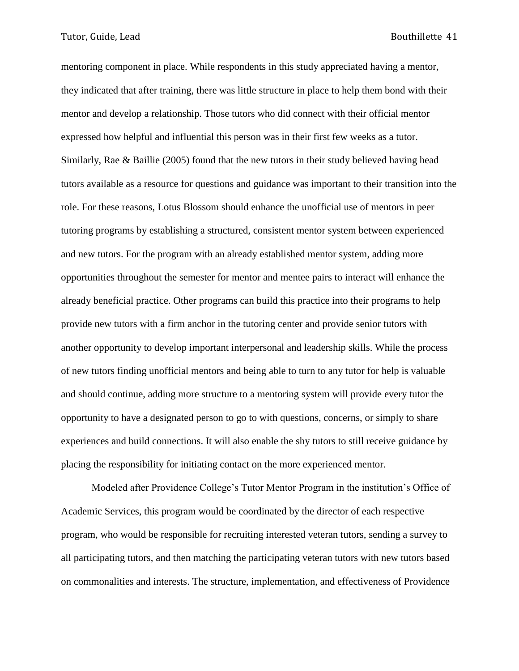mentoring component in place. While respondents in this study appreciated having a mentor, they indicated that after training, there was little structure in place to help them bond with their mentor and develop a relationship. Those tutors who did connect with their official mentor expressed how helpful and influential this person was in their first few weeks as a tutor. Similarly, Rae & Baillie (2005) found that the new tutors in their study believed having head tutors available as a resource for questions and guidance was important to their transition into the role. For these reasons, Lotus Blossom should enhance the unofficial use of mentors in peer tutoring programs by establishing a structured, consistent mentor system between experienced and new tutors. For the program with an already established mentor system, adding more opportunities throughout the semester for mentor and mentee pairs to interact will enhance the already beneficial practice. Other programs can build this practice into their programs to help provide new tutors with a firm anchor in the tutoring center and provide senior tutors with another opportunity to develop important interpersonal and leadership skills. While the process of new tutors finding unofficial mentors and being able to turn to any tutor for help is valuable and should continue, adding more structure to a mentoring system will provide every tutor the opportunity to have a designated person to go to with questions, concerns, or simply to share experiences and build connections. It will also enable the shy tutors to still receive guidance by placing the responsibility for initiating contact on the more experienced mentor.

Modeled after Providence College's Tutor Mentor Program in the institution's Office of Academic Services, this program would be coordinated by the director of each respective program, who would be responsible for recruiting interested veteran tutors, sending a survey to all participating tutors, and then matching the participating veteran tutors with new tutors based on commonalities and interests. The structure, implementation, and effectiveness of Providence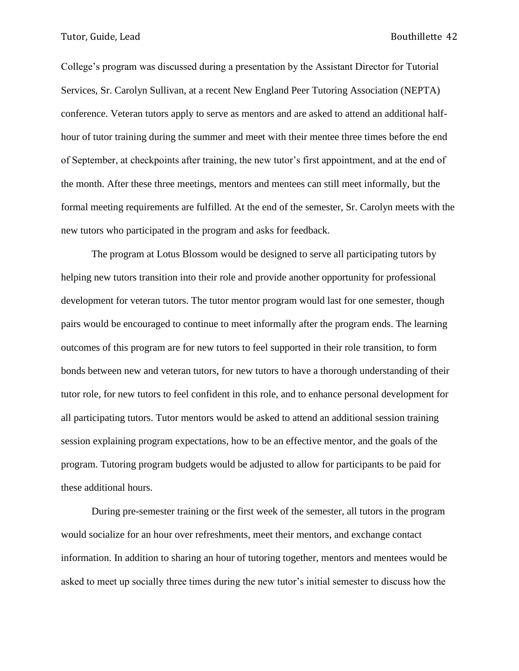College's program was discussed during a presentation by the Assistant Director for Tutorial Services, Sr. Carolyn Sullivan, at a recent New England Peer Tutoring Association (NEPTA) conference. Veteran tutors apply to serve as mentors and are asked to attend an additional halfhour of tutor training during the summer and meet with their mentee three times before the end of September, at checkpoints after training, the new tutor's first appointment, and at the end of the month. After these three meetings, mentors and mentees can still meet informally, but the formal meeting requirements are fulfilled. At the end of the semester, Sr. Carolyn meets with the new tutors who participated in the program and asks for feedback.

The program at Lotus Blossom would be designed to serve all participating tutors by helping new tutors transition into their role and provide another opportunity for professional development for veteran tutors. The tutor mentor program would last for one semester, though pairs would be encouraged to continue to meet informally after the program ends. The learning outcomes of this program are for new tutors to feel supported in their role transition, to form bonds between new and veteran tutors, for new tutors to have a thorough understanding of their tutor role, for new tutors to feel confident in this role, and to enhance personal development for all participating tutors. Tutor mentors would be asked to attend an additional session training session explaining program expectations, how to be an effective mentor, and the goals of the program. Tutoring program budgets would be adjusted to allow for participants to be paid for these additional hours.

During pre-semester training or the first week of the semester, all tutors in the program would socialize for an hour over refreshments, meet their mentors, and exchange contact information. In addition to sharing an hour of tutoring together, mentors and mentees would be asked to meet up socially three times during the new tutor's initial semester to discuss how the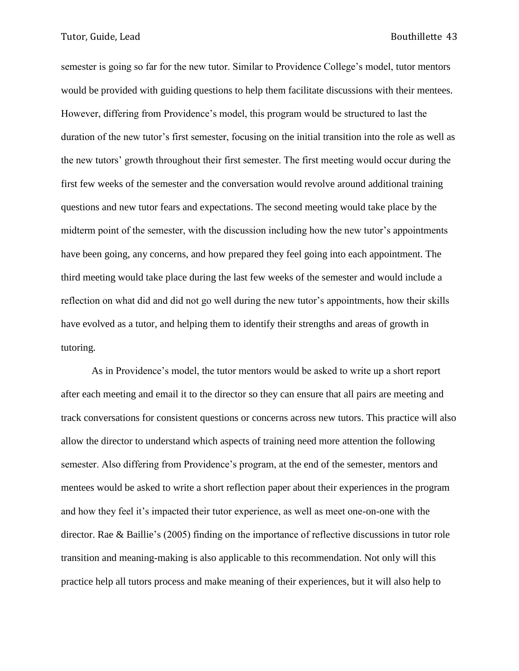semester is going so far for the new tutor. Similar to Providence College's model, tutor mentors would be provided with guiding questions to help them facilitate discussions with their mentees. However, differing from Providence's model, this program would be structured to last the duration of the new tutor's first semester, focusing on the initial transition into the role as well as the new tutors' growth throughout their first semester. The first meeting would occur during the first few weeks of the semester and the conversation would revolve around additional training questions and new tutor fears and expectations. The second meeting would take place by the midterm point of the semester, with the discussion including how the new tutor's appointments have been going, any concerns, and how prepared they feel going into each appointment. The third meeting would take place during the last few weeks of the semester and would include a reflection on what did and did not go well during the new tutor's appointments, how their skills have evolved as a tutor, and helping them to identify their strengths and areas of growth in tutoring.

As in Providence's model, the tutor mentors would be asked to write up a short report after each meeting and email it to the director so they can ensure that all pairs are meeting and track conversations for consistent questions or concerns across new tutors. This practice will also allow the director to understand which aspects of training need more attention the following semester. Also differing from Providence's program, at the end of the semester, mentors and mentees would be asked to write a short reflection paper about their experiences in the program and how they feel it's impacted their tutor experience, as well as meet one-on-one with the director. Rae & Baillie's (2005) finding on the importance of reflective discussions in tutor role transition and meaning-making is also applicable to this recommendation. Not only will this practice help all tutors process and make meaning of their experiences, but it will also help to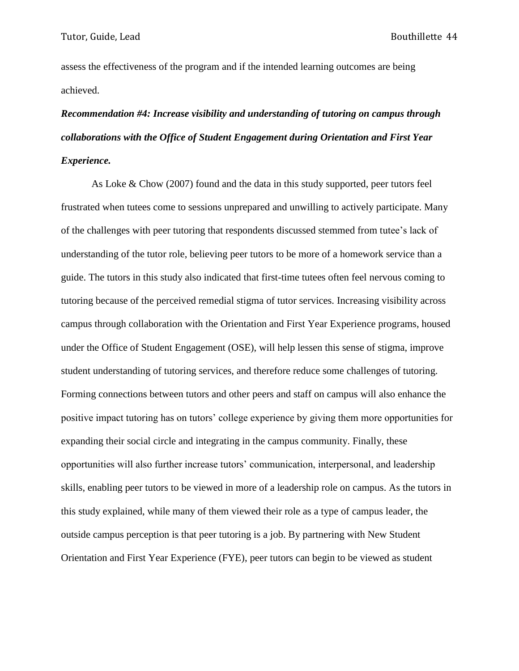assess the effectiveness of the program and if the intended learning outcomes are being achieved.

# *Recommendation #4: Increase visibility and understanding of tutoring on campus through collaborations with the Office of Student Engagement during Orientation and First Year Experience.*

As Loke & Chow (2007) found and the data in this study supported, peer tutors feel frustrated when tutees come to sessions unprepared and unwilling to actively participate. Many of the challenges with peer tutoring that respondents discussed stemmed from tutee's lack of understanding of the tutor role, believing peer tutors to be more of a homework service than a guide. The tutors in this study also indicated that first-time tutees often feel nervous coming to tutoring because of the perceived remedial stigma of tutor services. Increasing visibility across campus through collaboration with the Orientation and First Year Experience programs, housed under the Office of Student Engagement (OSE), will help lessen this sense of stigma, improve student understanding of tutoring services, and therefore reduce some challenges of tutoring. Forming connections between tutors and other peers and staff on campus will also enhance the positive impact tutoring has on tutors' college experience by giving them more opportunities for expanding their social circle and integrating in the campus community. Finally, these opportunities will also further increase tutors' communication, interpersonal, and leadership skills, enabling peer tutors to be viewed in more of a leadership role on campus. As the tutors in this study explained, while many of them viewed their role as a type of campus leader, the outside campus perception is that peer tutoring is a job. By partnering with New Student Orientation and First Year Experience (FYE), peer tutors can begin to be viewed as student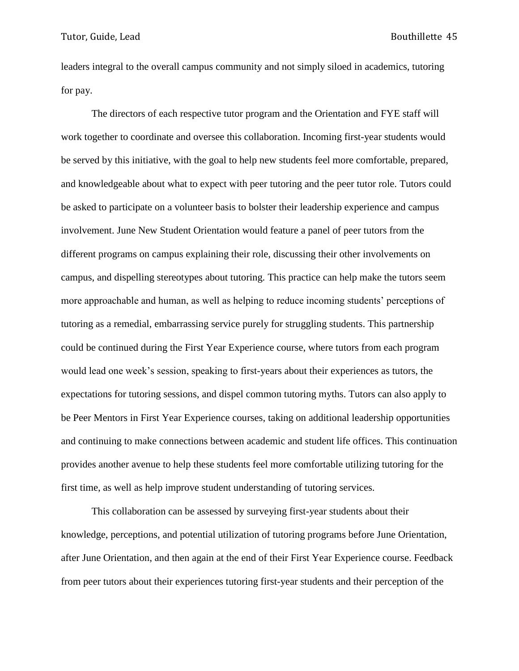leaders integral to the overall campus community and not simply siloed in academics, tutoring for pay.

The directors of each respective tutor program and the Orientation and FYE staff will work together to coordinate and oversee this collaboration. Incoming first-year students would be served by this initiative, with the goal to help new students feel more comfortable, prepared, and knowledgeable about what to expect with peer tutoring and the peer tutor role. Tutors could be asked to participate on a volunteer basis to bolster their leadership experience and campus involvement. June New Student Orientation would feature a panel of peer tutors from the different programs on campus explaining their role, discussing their other involvements on campus, and dispelling stereotypes about tutoring. This practice can help make the tutors seem more approachable and human, as well as helping to reduce incoming students' perceptions of tutoring as a remedial, embarrassing service purely for struggling students. This partnership could be continued during the First Year Experience course, where tutors from each program would lead one week's session, speaking to first-years about their experiences as tutors, the expectations for tutoring sessions, and dispel common tutoring myths. Tutors can also apply to be Peer Mentors in First Year Experience courses, taking on additional leadership opportunities and continuing to make connections between academic and student life offices. This continuation provides another avenue to help these students feel more comfortable utilizing tutoring for the first time, as well as help improve student understanding of tutoring services.

This collaboration can be assessed by surveying first-year students about their knowledge, perceptions, and potential utilization of tutoring programs before June Orientation, after June Orientation, and then again at the end of their First Year Experience course. Feedback from peer tutors about their experiences tutoring first-year students and their perception of the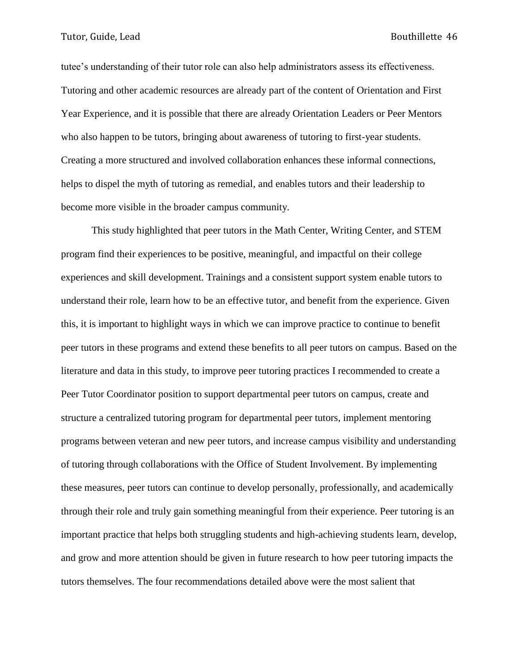tutee's understanding of their tutor role can also help administrators assess its effectiveness. Tutoring and other academic resources are already part of the content of Orientation and First Year Experience, and it is possible that there are already Orientation Leaders or Peer Mentors who also happen to be tutors, bringing about awareness of tutoring to first-year students. Creating a more structured and involved collaboration enhances these informal connections, helps to dispel the myth of tutoring as remedial, and enables tutors and their leadership to become more visible in the broader campus community.

This study highlighted that peer tutors in the Math Center, Writing Center, and STEM program find their experiences to be positive, meaningful, and impactful on their college experiences and skill development. Trainings and a consistent support system enable tutors to understand their role, learn how to be an effective tutor, and benefit from the experience. Given this, it is important to highlight ways in which we can improve practice to continue to benefit peer tutors in these programs and extend these benefits to all peer tutors on campus. Based on the literature and data in this study, to improve peer tutoring practices I recommended to create a Peer Tutor Coordinator position to support departmental peer tutors on campus, create and structure a centralized tutoring program for departmental peer tutors, implement mentoring programs between veteran and new peer tutors, and increase campus visibility and understanding of tutoring through collaborations with the Office of Student Involvement. By implementing these measures, peer tutors can continue to develop personally, professionally, and academically through their role and truly gain something meaningful from their experience. Peer tutoring is an important practice that helps both struggling students and high-achieving students learn, develop, and grow and more attention should be given in future research to how peer tutoring impacts the tutors themselves. The four recommendations detailed above were the most salient that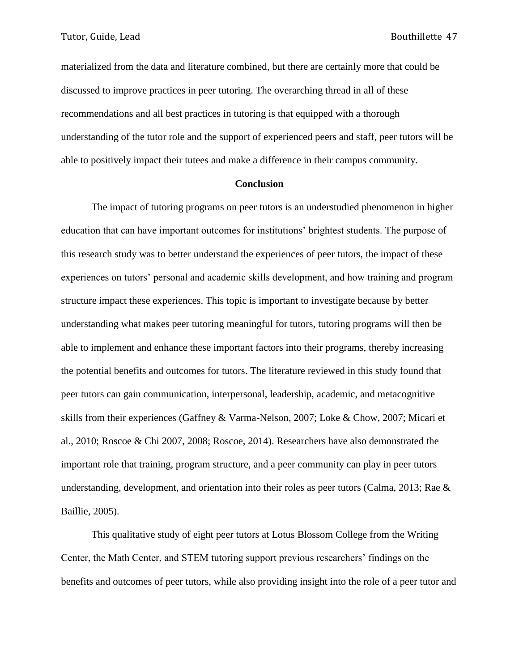materialized from the data and literature combined, but there are certainly more that could be discussed to improve practices in peer tutoring. The overarching thread in all of these recommendations and all best practices in tutoring is that equipped with a thorough understanding of the tutor role and the support of experienced peers and staff, peer tutors will be able to positively impact their tutees and make a difference in their campus community.

#### **Conclusion**

The impact of tutoring programs on peer tutors is an understudied phenomenon in higher education that can have important outcomes for institutions' brightest students. The purpose of this research study was to better understand the experiences of peer tutors, the impact of these experiences on tutors' personal and academic skills development, and how training and program structure impact these experiences. This topic is important to investigate because by better understanding what makes peer tutoring meaningful for tutors, tutoring programs will then be able to implement and enhance these important factors into their programs, thereby increasing the potential benefits and outcomes for tutors. The literature reviewed in this study found that peer tutors can gain communication, interpersonal, leadership, academic, and metacognitive skills from their experiences (Gaffney & Varma-Nelson, 2007; Loke & Chow, 2007; Micari et al., 2010; Roscoe & Chi 2007, 2008; Roscoe, 2014). Researchers have also demonstrated the important role that training, program structure, and a peer community can play in peer tutors understanding, development, and orientation into their roles as peer tutors (Calma, 2013; Rae & Baillie, 2005).

This qualitative study of eight peer tutors at Lotus Blossom College from the Writing Center, the Math Center, and STEM tutoring support previous researchers' findings on the benefits and outcomes of peer tutors, while also providing insight into the role of a peer tutor and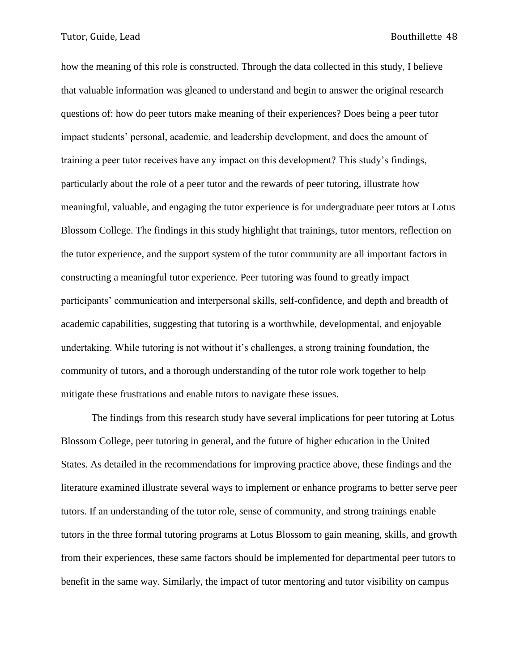how the meaning of this role is constructed. Through the data collected in this study, I believe that valuable information was gleaned to understand and begin to answer the original research questions of: how do peer tutors make meaning of their experiences? Does being a peer tutor impact students' personal, academic, and leadership development, and does the amount of training a peer tutor receives have any impact on this development? This study's findings, particularly about the role of a peer tutor and the rewards of peer tutoring, illustrate how meaningful, valuable, and engaging the tutor experience is for undergraduate peer tutors at Lotus Blossom College. The findings in this study highlight that trainings, tutor mentors, reflection on the tutor experience, and the support system of the tutor community are all important factors in constructing a meaningful tutor experience. Peer tutoring was found to greatly impact participants' communication and interpersonal skills, self-confidence, and depth and breadth of academic capabilities, suggesting that tutoring is a worthwhile, developmental, and enjoyable undertaking. While tutoring is not without it's challenges, a strong training foundation, the community of tutors, and a thorough understanding of the tutor role work together to help mitigate these frustrations and enable tutors to navigate these issues.

The findings from this research study have several implications for peer tutoring at Lotus Blossom College, peer tutoring in general, and the future of higher education in the United States. As detailed in the recommendations for improving practice above, these findings and the literature examined illustrate several ways to implement or enhance programs to better serve peer tutors. If an understanding of the tutor role, sense of community, and strong trainings enable tutors in the three formal tutoring programs at Lotus Blossom to gain meaning, skills, and growth from their experiences, these same factors should be implemented for departmental peer tutors to benefit in the same way. Similarly, the impact of tutor mentoring and tutor visibility on campus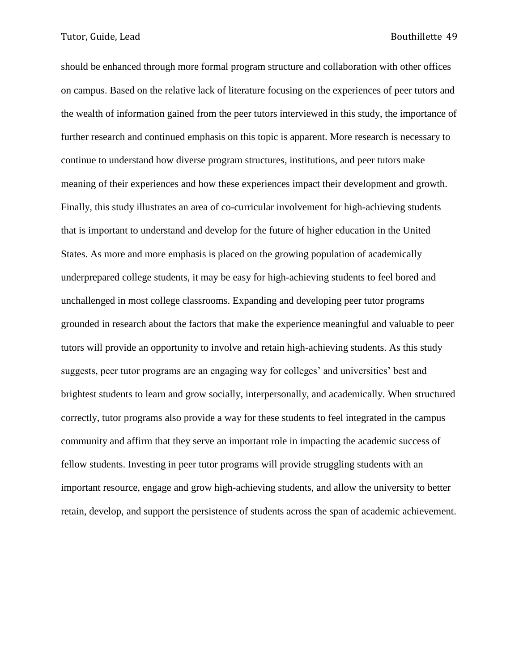should be enhanced through more formal program structure and collaboration with other offices on campus. Based on the relative lack of literature focusing on the experiences of peer tutors and the wealth of information gained from the peer tutors interviewed in this study, the importance of further research and continued emphasis on this topic is apparent. More research is necessary to continue to understand how diverse program structures, institutions, and peer tutors make meaning of their experiences and how these experiences impact their development and growth. Finally, this study illustrates an area of co-curricular involvement for high-achieving students that is important to understand and develop for the future of higher education in the United States. As more and more emphasis is placed on the growing population of academically underprepared college students, it may be easy for high-achieving students to feel bored and unchallenged in most college classrooms. Expanding and developing peer tutor programs grounded in research about the factors that make the experience meaningful and valuable to peer tutors will provide an opportunity to involve and retain high-achieving students. As this study suggests, peer tutor programs are an engaging way for colleges' and universities' best and brightest students to learn and grow socially, interpersonally, and academically. When structured correctly, tutor programs also provide a way for these students to feel integrated in the campus community and affirm that they serve an important role in impacting the academic success of fellow students. Investing in peer tutor programs will provide struggling students with an important resource, engage and grow high-achieving students, and allow the university to better retain, develop, and support the persistence of students across the span of academic achievement.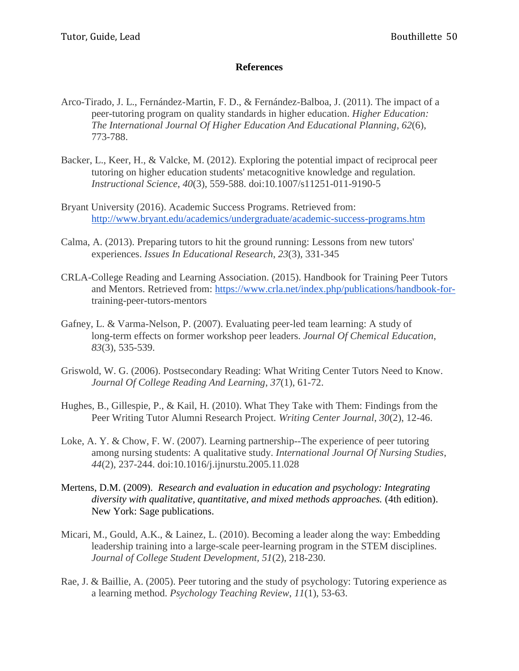### **References**

- Arco-Tirado, J. L., Fernández-Martin, F. D., & Fernández-Balboa, J. (2011). The impact of a peer-tutoring program on quality standards in higher education. *Higher Education: The International Journal Of Higher Education And Educational Planning*, *62*(6), 773-788.
- Backer, L., Keer, H., & Valcke, M. (2012). Exploring the potential impact of reciprocal peer tutoring on higher education students' metacognitive knowledge and regulation. *Instructional Science*, *40*(3), 559-588. doi:10.1007/s11251-011-9190-5
- Bryant University (2016). Academic Success Programs. Retrieved from: http://www.bryant.edu/academics/undergraduate/academic-success-programs.htm
- Calma, A. (2013). Preparing tutors to hit the ground running: Lessons from new tutors' experiences. *Issues In Educational Research*, *23*(3), 331-345
- CRLA-College Reading and Learning Association. (2015). Handbook for Training Peer Tutors and Mentors. Retrieved from: https://www.crla.net/index.php/publications/handbook-fortraining-peer-tutors-mentors
- Gafney, L. & Varma-Nelson, P. (2007). Evaluating peer-led team learning: A study of long-term effects on former workshop peer leaders. *Journal Of Chemical Education*, *83*(3), 535-539.
- Griswold, W. G. (2006). Postsecondary Reading: What Writing Center Tutors Need to Know. *Journal Of College Reading And Learning*, *37*(1), 61-72.
- Hughes, B., Gillespie, P., & Kail, H. (2010). What They Take with Them: Findings from the Peer Writing Tutor Alumni Research Project. *Writing Center Journal*, *30*(2), 12-46.
- Loke, A. Y. & Chow, F. W. (2007). Learning partnership--The experience of peer tutoring among nursing students: A qualitative study. *International Journal Of Nursing Studies*, *44*(2), 237-244. doi:10.1016/j.ijnurstu.2005.11.028
- Mertens, D.M. (2009). *Research and evaluation in education and psychology: Integrating diversity with qualitative, quantitative, and mixed methods approaches.* (4th edition). New York: Sage publications.
- Micari, M., Gould, A.K., & Lainez, L. (2010). Becoming a leader along the way: Embedding leadership training into a large-scale peer-learning program in the STEM disciplines. *Journal of College Student Development, 51*(2), 218-230.
- Rae, J. & Baillie, A. (2005). Peer tutoring and the study of psychology: Tutoring experience as a learning method. *Psychology Teaching Review*, *11*(1), 53-63.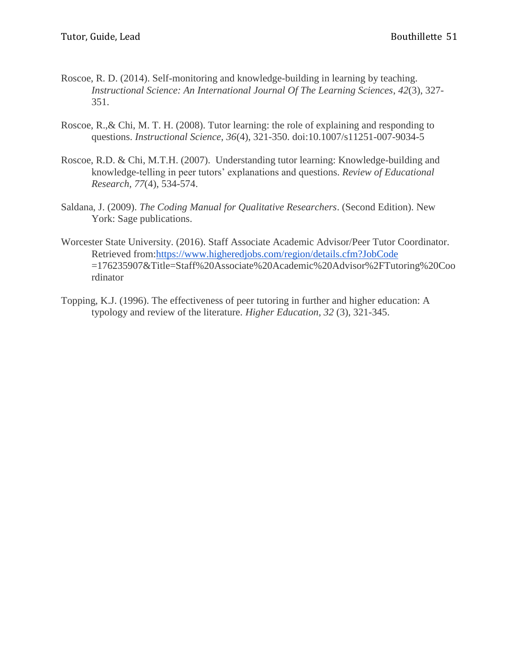- Roscoe, R. D. (2014). Self-monitoring and knowledge-building in learning by teaching. *Instructional Science: An International Journal Of The Learning Sciences*, *42*(3), 327- 351.
- Roscoe, R.,& Chi, M. T. H. (2008). Tutor learning: the role of explaining and responding to questions. *Instructional Science*, *36*(4), 321-350. doi:10.1007/s11251-007-9034-5
- Roscoe, R.D. & Chi, M.T.H. (2007). Understanding tutor learning: Knowledge-building and knowledge-telling in peer tutors' explanations and questions. *Review of Educational Research, 77*(4), 534-574.
- Saldana, J. (2009). *The Coding Manual for Qualitative Researchers*. (Second Edition). New York: Sage publications.
- Worcester State University. (2016). Staff Associate Academic Advisor/Peer Tutor Coordinator. Retrieved from[:https://www.higheredjobs.com/region/details.cfm?JobCode](https://www.higheredjobs.com/region/details.cfm?JobCode) =176235907&Title=Staff%20Associate%20Academic%20Advisor%2FTutoring%20Coo rdinator
- Topping, K.J. (1996). The effectiveness of peer tutoring in further and higher education: A typology and review of the literature. *Higher Education, 32* (3), 321-345.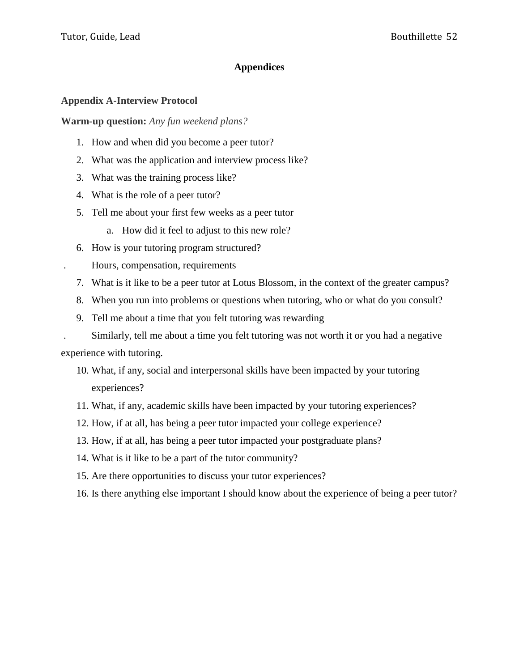### **Appendices**

### **Appendix A-Interview Protocol**

**Warm-up question:** *Any fun weekend plans?*

- 1. How and when did you become a peer tutor?
- 2. What was the application and interview process like?
- 3. What was the training process like?
- 4. What is the role of a peer tutor?
- 5. Tell me about your first few weeks as a peer tutor
	- a. How did it feel to adjust to this new role?
- 6. How is your tutoring program structured?
- . Hours, compensation, requirements
	- 7. What is it like to be a peer tutor at Lotus Blossom, in the context of the greater campus?
	- 8. When you run into problems or questions when tutoring, who or what do you consult?
	- 9. Tell me about a time that you felt tutoring was rewarding

. Similarly, tell me about a time you felt tutoring was not worth it or you had a negative experience with tutoring.

- 10. What, if any, social and interpersonal skills have been impacted by your tutoring experiences?
- 11. What, if any, academic skills have been impacted by your tutoring experiences?
- 12. How, if at all, has being a peer tutor impacted your college experience?
- 13. How, if at all, has being a peer tutor impacted your postgraduate plans?
- 14. What is it like to be a part of the tutor community?
- 15. Are there opportunities to discuss your tutor experiences?
- 16. Is there anything else important I should know about the experience of being a peer tutor?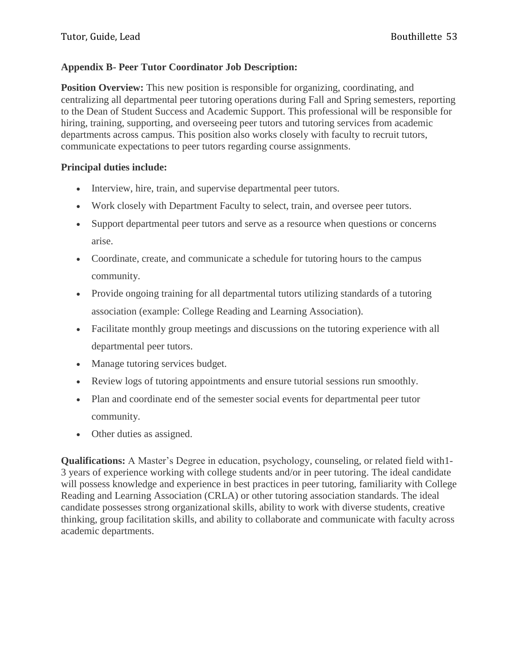### **Appendix B- Peer Tutor Coordinator Job Description:**

**Position Overview:** This new position is responsible for organizing, coordinating, and centralizing all departmental peer tutoring operations during Fall and Spring semesters, reporting to the Dean of Student Success and Academic Support. This professional will be responsible for hiring, training, supporting, and overseeing peer tutors and tutoring services from academic departments across campus. This position also works closely with faculty to recruit tutors, communicate expectations to peer tutors regarding course assignments.

### **Principal duties include:**

- Interview, hire, train, and supervise departmental peer tutors.
- Work closely with Department Faculty to select, train, and oversee peer tutors.
- Support departmental peer tutors and serve as a resource when questions or concerns arise.
- Coordinate, create, and communicate a schedule for tutoring hours to the campus community.
- Provide ongoing training for all departmental tutors utilizing standards of a tutoring association (example: College Reading and Learning Association).
- Facilitate monthly group meetings and discussions on the tutoring experience with all departmental peer tutors.
- Manage tutoring services budget.
- Review logs of tutoring appointments and ensure tutorial sessions run smoothly.
- Plan and coordinate end of the semester social events for departmental peer tutor community.
- Other duties as assigned.

**Qualifications:** A Master's Degree in education, psychology, counseling, or related field with1- 3 years of experience working with college students and/or in peer tutoring. The ideal candidate will possess knowledge and experience in best practices in peer tutoring, familiarity with College Reading and Learning Association (CRLA) or other tutoring association standards. The ideal candidate possesses strong organizational skills, ability to work with diverse students, creative thinking, group facilitation skills, and ability to collaborate and communicate with faculty across academic departments.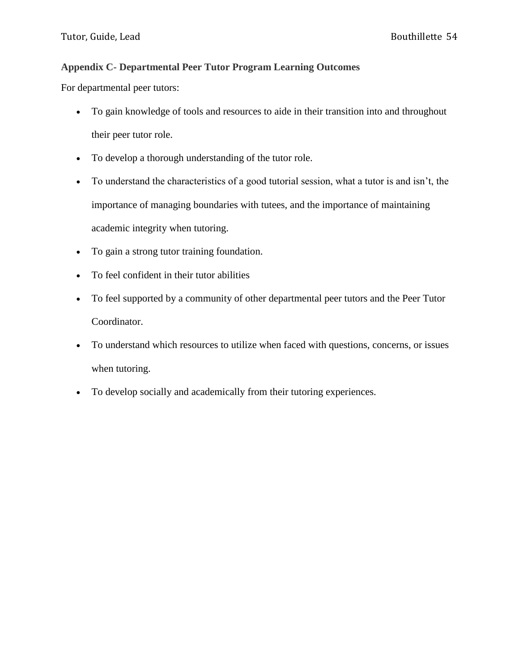## **Appendix C- Departmental Peer Tutor Program Learning Outcomes**

For departmental peer tutors:

- To gain knowledge of tools and resources to aide in their transition into and throughout their peer tutor role.
- To develop a thorough understanding of the tutor role.
- To understand the characteristics of a good tutorial session, what a tutor is and isn't, the importance of managing boundaries with tutees, and the importance of maintaining academic integrity when tutoring.
- To gain a strong tutor training foundation.
- To feel confident in their tutor abilities
- To feel supported by a community of other departmental peer tutors and the Peer Tutor Coordinator.
- To understand which resources to utilize when faced with questions, concerns, or issues when tutoring.
- To develop socially and academically from their tutoring experiences.